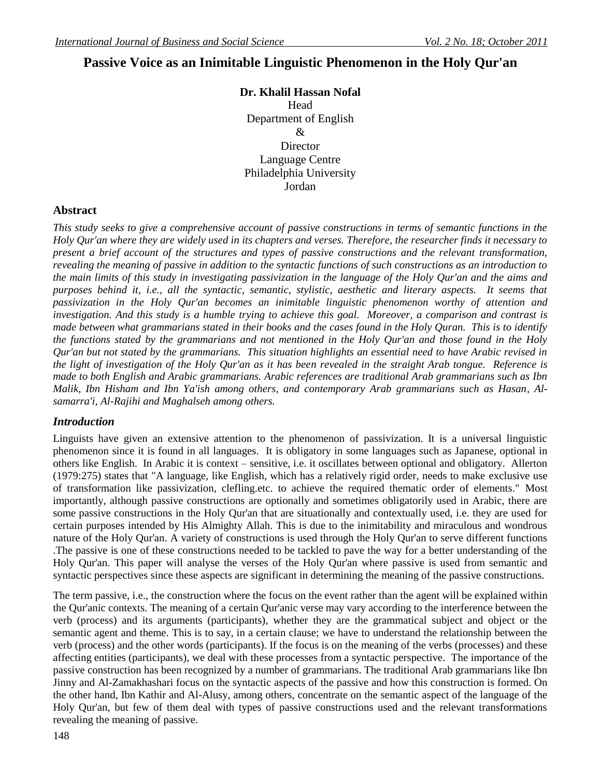# **Passive Voice as an Inimitable Linguistic Phenomenon in the Holy Qur'an**

**Dr. Khalil Hassan Nofal**  Head Department of English & **Director** Language Centre Philadelphia University Jordan

#### **Abstract**

*This study seeks to give a comprehensive account of passive constructions in terms of semantic functions in the Holy Qur'an where they are widely used in its chapters and verses. Therefore, the researcher finds it necessary to present a brief account of the structures and types of passive constructions and the relevant transformation, revealing the meaning of passive in addition to the syntactic functions of such constructions as an introduction to the main limits of this study in investigating passivization in the language of the Holy Qur'an and the aims and purposes behind it, i.e., all the syntactic, semantic, stylistic, aesthetic and literary aspects. It seems that passivization in the Holy Qur'an becomes an inimitable linguistic phenomenon worthy of attention and investigation. And this study is a humble trying to achieve this goal. Moreover, a comparison and contrast is made between what grammarians stated in their books and the cases found in the Holy Quran. This is to identify the functions stated by the grammarians and not mentioned in the Holy Qur'an and those found in the Holy Qur'an but not stated by the grammarians. This situation highlights an essential need to have Arabic revised in the light of investigation of the Holy Qur'an as it has been revealed in the straight Arab tongue. Reference is made to both English and Arabic grammarians. Arabic references are traditional Arab grammarians such as Ibn Malik, Ibn Hisham and Ibn Ya'ish among others, and contemporary Arab grammarians such as Hasan, Alsamarra'i, Al-Rajihi and Maghalseh among others.* 

#### *Introduction*

Linguists have given an extensive attention to the phenomenon of passivization. It is a universal linguistic phenomenon since it is found in all languages. It is obligatory in some languages such as Japanese, optional in others like English. In Arabic it is context – sensitive, i.e. it oscillates between optional and obligatory. Allerton (1979:275) states that "A language, like English, which has a relatively rigid order, needs to make exclusive use of transformation like passivization, clefling.etc. to achieve the required thematic order of elements." Most importantly, although passive constructions are optionally and sometimes obligatorily used in Arabic, there are some passive constructions in the Holy Qur'an that are situationally and contextually used, i.e. they are used for certain purposes intended by His Almighty Allah. This is due to the inimitability and miraculous and wondrous nature of the Holy Qur'an. A variety of constructions is used through the Holy Qur'an to serve different functions .The passive is one of these constructions needed to be tackled to pave the way for a better understanding of the Holy Qur'an. This paper will analyse the verses of the Holy Qur'an where passive is used from semantic and syntactic perspectives since these aspects are significant in determining the meaning of the passive constructions.

The term passive, i.e., the construction where the focus on the event rather than the agent will be explained within the Qur'anic contexts. The meaning of a certain Qur'anic verse may vary according to the interference between the verb (process) and its arguments (participants), whether they are the grammatical subject and object or the semantic agent and theme. This is to say, in a certain clause; we have to understand the relationship between the verb (process) and the other words (participants). If the focus is on the meaning of the verbs (processes) and these affecting entities (participants), we deal with these processes from a syntactic perspective. The importance of the passive construction has been recognized by a number of grammarians. The traditional Arab grammarians like Ibn Jinny and Al-Zamakhashari focus on the syntactic aspects of the passive and how this construction is formed. On the other hand, Ibn Kathir and Al-Alusy, among others, concentrate on the semantic aspect of the language of the Holy Qur'an, but few of them deal with types of passive constructions used and the relevant transformations revealing the meaning of passive.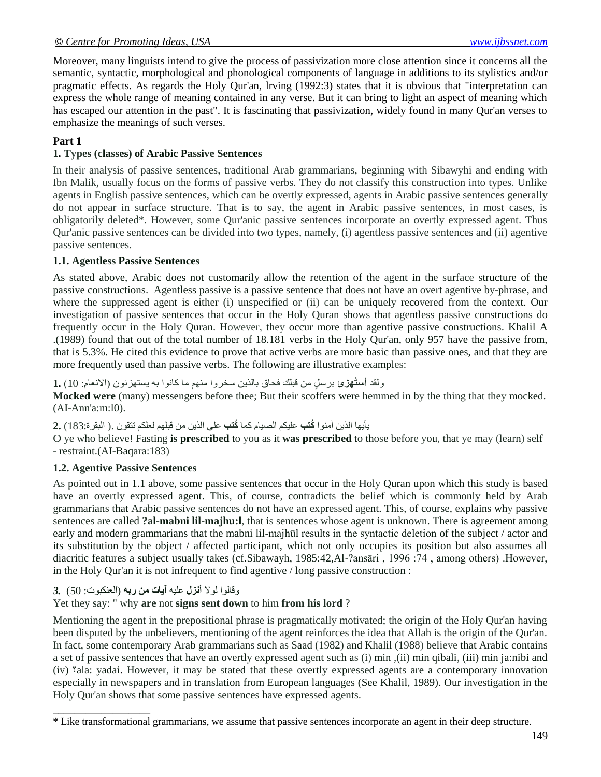#### *© Centre for Promoting Ideas, USA www.ijbssnet.com*

Moreover, many linguists intend to give the process of passivization more close attention since it concerns all the semantic, syntactic, morphological and phonological components of language in additions to its stylistics and/or pragmatic effects. As regards the Holy Qur'an, lrving (1992:3) states that it is obvious that "interpretation can express the whole range of meaning contained in any verse. But it can bring to light an aspect of meaning which has escaped our attention in the past". It is fascinating that passivization, widely found in many Qur'an verses to emphasize the meanings of such verses.

#### **Part 1**

#### **1. Types (classes) of Arabic Passive Sentences**

In their analysis of passive sentences, traditional Arab grammarians, beginning with Sibawyhi and ending with Ibn Malik, usually focus on the forms of passive verbs. They do not classify this construction into types. Unlike agents in English passive sentences, which can be overtly expressed, agents in Arabic passive sentences generally do not appear in surface structure. That is to say, the agent in Arabic passive sentences, in most cases, is obligatorily deleted\*. However, some Qur'anic passive sentences incorporate an overtly expressed agent. Thus Qur'anic passive sentences can be divided into two types, namely, (i) agentless passive sentences and (ii) agentive passive sentences.

#### **1.1. Agentless Passive Sentences**

As stated above, Arabic does not customarily allow the retention of the agent in the surface structure of the passive constructions. Agentless passive is a passive sentence that does not have an overt agentive by-phrase, and where the suppressed agent is either (i) unspecified or (ii) can be uniquely recovered from the context. Our investigation of passive sentences that occur in the Holy Quran shows that agentless passive constructions do frequently occur in the Holy Quran. However, they occur more than agentive passive constructions. Khalil A .(1989) found that out of the total number of 18.181 verbs in the Holy Qur'an, only 957 have the passive from, that is 5.3%. He cited this evidence to prove that active verbs are more basic than passive ones, and that they are more frequently used than passive verbs. The following are illustrative examples:

ولقد أ**ستُهزِيَ** برسل من قبلك فحاق بالذين سخروا منهم ما كانوا به يستهزئون (الانعام: 10) .1

**Mocked were** (many) messengers before thee; But their scoffers were hemmed in by the thing that they mocked. (AI-Ann'a:m:l0).

٠ؤٙ٠ب اٌزٓ٠ إِٓٛا **ُوزت** ع١ٍىُ اٌص١بَ وّب **ُوزت** عٍٝ اٌزٓ٠ ِٓ لجٍُٙ ٌعٍىُ رزمْٛ .( اٌجمشح183:) **2.**

O ye who believe! Fasting **is prescribed** to you as it **was prescribed** to those before you, that ye may (learn) self - restraint.(AI-Baqara:183)

#### **1.2. Agentive Passive Sentences**

As pointed out in 1.1 above, some passive sentences that occur in the Holy Quran upon which this study is based have an overtly expressed agent. This, of course, contradicts the belief which is commonly held by Arab grammarians that Arabic passive sentences do not have an expressed agent. This, of course, explains why passive sentences are called **?al-mabni lil-majhu:l**, that is sentences whose agent is unknown. There is agreement among early and modern grammarians that the mabni lil-majhūl results in the syntactic deletion of the subject / actor and its substitution by the object / affected participant, which not only occupies its position but also assumes all diacritic features a subject usually takes (cf.Sibawayh, 1985:42,Al-?ansāri , 1996 :74 , among others) .However, in the Holy Qur'an it is not infrequent to find agentive / long passive construction :

#### وقالوا لولا أ**نزل** عليه آ**يات من ربه** (العنكبوت: 50) .3

\_\_\_\_\_\_\_\_\_\_\_\_\_\_\_\_\_\_

#### Yet they say: " why **are** not **signs sent down** to him **from his lord** ?

Mentioning the agent in the prepositional phrase is pragmatically motivated; the origin of the Holy Qur'an having been disputed by the unbelievers, mentioning of the agent reinforces the idea that Allah is the origin of the Qur'an. In fact, some contemporary Arab grammarians such as Saad (1982) and Khalil (1988) believe that Arabic contains a set of passive sentences that have an overtly expressed agent such as (i) min ,(ii) min qibali, (iii) min ja:nibi and (iv) ؟ala: yadai. However, it may be stated that these overtly expressed agents are a contemporary innovation especially in newspapers and in translation from European languages (See Khalil, 1989). Our investigation in the Holy Qur'an shows that some passive sentences have expressed agents.

<sup>\*</sup> Like transformational grammarians, we assume that passive sentences incorporate an agent in their deep structure.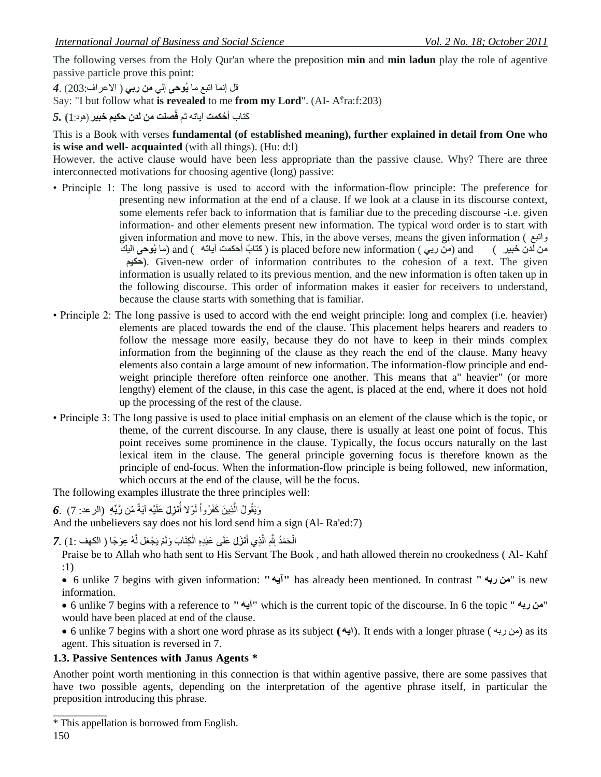The following verses from the Holy Qur'an where the preposition **min** and **min ladun** play the role of agentive passive particle prove this point:

لً أّب ارجع ِب **ُٛ٠حٝ** اٌٟ **ِٓ سثٟ** ( االعشاف203:) *4*. Say: "I but follow what **is revealed** to me **from my Lord**". (AI- A؟ra:f:203)

وزبة **أ ُحىّذ** آ٠برٗ ثُ **فُصٍذ ِٓ ٌذْ حىُ١ خج١ش** (ٛ٘د1:**)** *5.*

This is a Book with verses **fundamental (of established meaning), further explained in detail from One who is wise and well- acquainted** (with all things). (Hu: d:l)

However, the active clause would have been less appropriate than the passive clause. Why? There are three interconnected motivations for choosing agentive (long) passive:

- Principle 1: The long passive is used to accord with the information-flow principle: The preference for presenting new information at the end of a clause. If we look at a clause in its discourse context, some elements refer back to information that is familiar due to the preceding discourse -i.e. given information- and other elements present new information. The typical word order is to start with given information and move to new. This, in the above verses, means the given information ( ارجعٚ م**ن لدن خبير ) and ( من ربي ) is placed before new information ( من ربي ) and ( ) and ) ) and ُ١حى**(. Given-new order of information contributes to the cohesion of a text. The given information is usually related to its previous mention, and the new information is often taken up in the following discourse. This order of information makes it easier for receivers to understand, because the clause starts with something that is familiar.
- Principle 2: The long passive is used to accord with the end weight principle: long and complex (i.e. heavier) elements are placed towards the end of the clause. This placement helps hearers and readers to follow the message more easily, because they do not have to keep in their minds complex information from the beginning of the clause as they reach the end of the clause. Many heavy elements also contain a large amount of new information. The information-flow principle and endweight principle therefore often reinforce one another. This means that a" heavier" (or more lengthy) element of the clause, in this case the agent, is placed at the end, where it does not hold up the processing of the rest of the clause.
- Principle 3: The long passive is used to place initial emphasis on an element of the clause which is the topic, or theme, of the current discourse. In any clause, there is usually at least one point of focus. This point receives some prominence in the clause. Typically, the focus occurs naturally on the last lexical item in the clause. The general principle governing focus is therefore known as the principle of end-focus. When the information-flow principle is being followed, new information, which occurs at the end of the clause, will be the focus.

The following examples illustrate the three principles well:

**وَيَقُولُ الَّذِينَ كَفَرُواْ لَوْلا أُنْزِلَ عَلَيْهِ آيَةٌ مِّن <b>رَّبَّهِ** ۖ (الرعد: 7) .6 ٌَ ْ َّ

And the unbelievers say does not his lord send him a sign (Al- Ra'ed:7)

الْحَمْدُ لِلَّٰهِ الَّذِي أَ**نْزَل**َ عَلَى عَبْدِهِ الْكِتَابَ وَلَمْ يَجْعَل لَّهُ عِوَجًا ( الكهف :1) .7 َّ ْ **َل** َّ ْ

Praise be to Allah who hath sent to His Servant The Book , and hath allowed therein no crookedness ( Al- Kahf :1)

 6 unlike 7 begins with given information: **"ٗ٠آ "**has already been mentioned. In contrast **" ٗسث ِٓ** "is new information.

 6 unlike 7 begins with a reference to **"ٗ٠آ** "which is the current topic of the discourse. In 6 the topic " **ٗسث ِٓ** " would have been placed at end of the clause.

 6 unlike 7 begins with a short one word phrase as its subject **( ٗ٠آ**(. It ends with a longer phrase ( ٗسث ِٓ (as its agent. This situation is reversed in 7.

#### **1.3. Passive Sentences with Janus Agents \***

Another point worth mentioning in this connection is that within agentive passive, there are some passives that have two possible agents, depending on the interpretation of the agentive phrase itself, in particular the preposition introducing this phrase.

\_\_\_\_\_\_\_\_\_\_

<sup>\*</sup> This appellation is borrowed from English.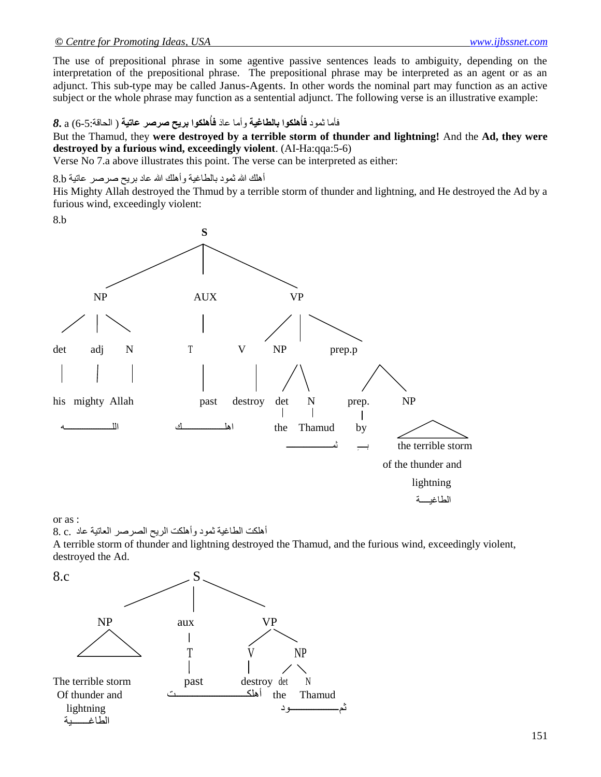The use of prepositional phrase in some agentive passive sentences leads to ambiguity, depending on the interpretation of the prepositional phrase. The prepositional phrase may be interpreted as an agent or as an adjunct. This sub-type may be called Janus-Agents. In other words the nominal part may function as an active subject or the whole phrase may function as a sentential adjunct. The following verse is an illustrative example:

#### **ف**أما ثمود **فأهلكوا بالطاغية** وأما عادَ **فأهلكوا بريح صرصر عاتية** ( الحاقة:6-6)  $a$  . **ُ**

But the Thamud, they **were destroyed by a terrible storm of thunder and lightning!** And the **Ad, they were destroyed by a furious wind, exceedingly violent**. (AI-Ha:qqa:5-6)

Verse No 7.a above illustrates this point. The verse can be interpreted as either:

#### أهلك الله ثمود بالطاغية وأهلك الله عاد بريح صرصر عاتية 8.b

His Mighty Allah destroyed the Thmud by a terrible storm of thunder and lightning, and He destroyed the Ad by a furious wind, exceedingly violent:



or as :

أهلكت الطاغية ثمود وأهلكت الريح الصرصر العاتية عاد .g.

A terrible storm of thunder and lightning destroyed the Thamud, and the furious wind, exceedingly violent, destroyed the Ad.

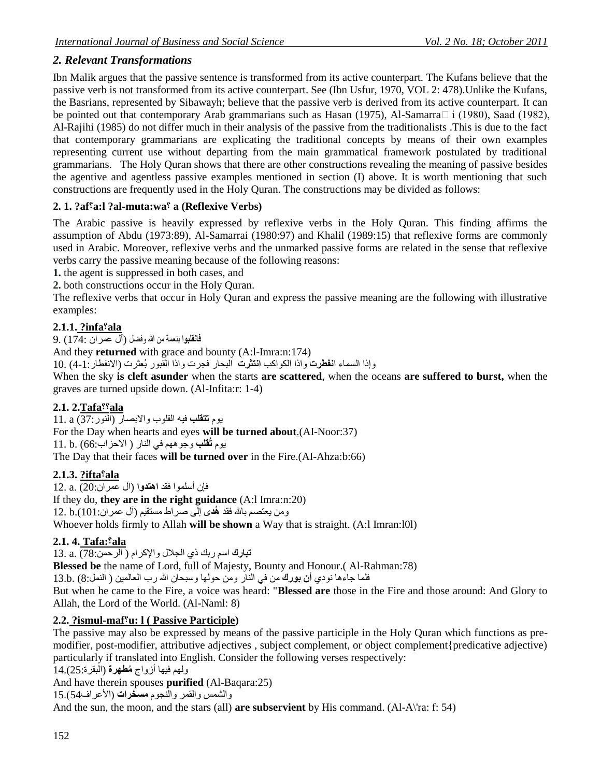## *2. Relevant Transformations*

Ibn Malik argues that the passive sentence is transformed from its active counterpart. The Kufans believe that the passive verb is not transformed from its active counterpart. See (Ibn Usfur, 1970, VOL 2: 478).Unlike the Kufans, the Basrians, represented by Sibawayh; believe that the passive verb is derived from its active counterpart. It can be pointed out that contemporary Arab grammarians such as Hasan (1975), Al-Samarra $\Box$  i (1980), Saad (1982), Al-Rajihi (1985) do not differ much in their analysis of the passive from the traditionalists .This is due to the fact that contemporary grammarians are explicating the traditional concepts by means of their own examples representing current use without departing from the main grammatical framework postulated by traditional grammarians. The Holy Quran shows that there are other constructions revealing the meaning of passive besides the agentive and agentless passive examples mentioned in section (I) above. It is worth mentioning that such constructions are frequently used in the Holy Quran. The constructions may be divided as follows:

#### **2. 1. ?af؟a:l ?al-muta:wa؟ a (Reflexive Verbs)**

The Arabic passive is heavily expressed by reflexive verbs in the Holy Quran. This finding affirms the assumption of Abdu (1973:89), Al-Samarrai (1980:97) and Khalil (1989:15) that reflexive forms are commonly used in Arabic. Moreover, reflexive verbs and the unmarked passive forms are related in the sense that reflexive verbs carry the passive meaning because of the following reasons:

**1.** the agent is suppressed in both cases, and

**2.** both constructions occur in the Holy Quran.

The reflexive verbs that occur in Holy Quran and express the passive meaning are the following with illustrative examples:

#### **2.1.1. ?infa؟ala**

فانقلبوا بنعمة من الله وفضل (آل عمر ان :174) .9

And they **returned** with grace and bounty (A:l-Imra:n:174)

وإذا السماء ا**نفطرت** واذا الكواكب ا**نتثرت** البحار فجرت واذا القبور بُعثرت (الانفطار :1-4) .10

When the sky **is cleft asunder** when the starts **are scattered**, when the oceans **are suffered to burst,** when the graves are turned upside down. (Al-Infita:r: 1-4)

#### **2.1. 2.Tafa؟؟ala**

َٛ٠ **رزمٍت** فٗ١ اٌمٍٛة ٚاالثصبس (إٌٛس37:) a 11. For the Day when hearts and eyes **will be turned about**.(AI-Noor:37) يوم ثُقلب وجوههم في النار ( الاحزاب:11. b. (66: The Day that their faces **will be turned over** in the Fire.(AI-Ahza:b:66)

#### **2.1.3. ?ifta؟ala**

فإن أسلموا فقد **اهتدوا** (آل عمران:20) .a . 12 If they do, **they are in the right guidance** (A:l Imra:n:20) ِٓٚ ٠عزصُ ثبّلِل فمذ **ُ٘ذ**ٜ اٌٝ صشاط ِغزمُ١ (آي عّشا101:ْ).b 12. Whoever holds firmly to Allah **will be shown** a Way that is straight. (A:l Imran:l0l)

#### **2.1. 4. Tafa:؟ala**

**رجبسن** اعُ سثه رٞ اٌدالي ٚاإلوشاَ ( اٌشح78:ّٓ) .a 13.

**Blessed be** the name of Lord, full of Majesty, Bounty and Honour.( Al-Rahman:78)

فلما جاءها نودي أ**ن بورك** من في النار ومن حولها وسبحان الله رب العالمين ( النمل:8) .13.b

But when he came to the Fire, a voice was heard: "**Blessed are** those in the Fire and those around: And Glory to Allah, the Lord of the World. (Al-Naml: 8)

#### **2.2. ?ismul-maf؟u: l ( Passive Participle)**

The passive may also be expressed by means of the passive participle in the Holy Quran which functions as premodifier, post-modifier, attributive adjectives , subject complement, or object complement{predicative adjective) particularly if translated into English. Consider the following verses respectively:

ولمهم فيها أزواج **مُطهرة** (البقرة:25).14

And have therein spouses **purified** (Al-Baqara:25)

والشّمس والقمر والنجوم **مسخرات** (الأعراف54).15

And the sun, the moon, and the stars (all) **are subservient** by His command. (Al-A\'ra: f: 54)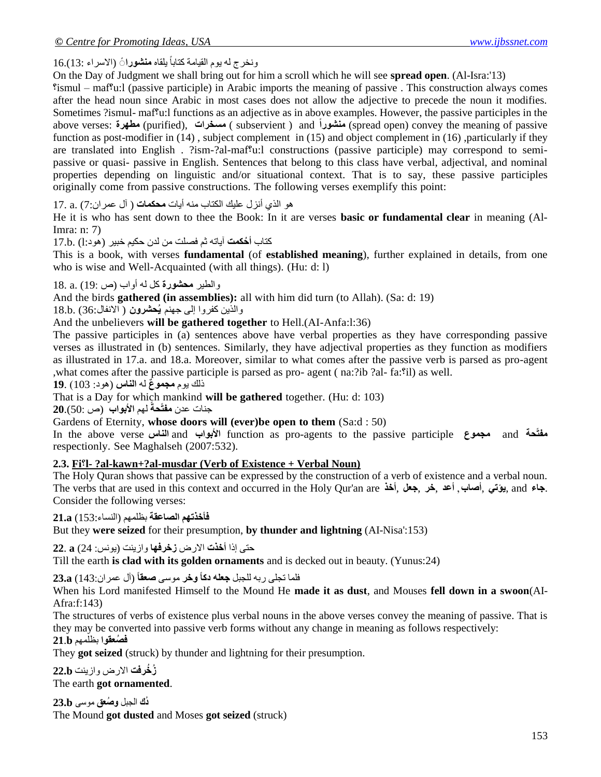## ونخرج له يوم القيا*م*ة كتاباً يلقاه **منشور**انَ (الاسراء :16.(13

On the Day of Judgment we shall bring out for him a scroll which he will see **spread open**. (Al-Isra:'13)

**؟**ismul – maf**؟**u:l (passive participle) in Arabic imports the meaning of passive . This construction always comes after the head noun since Arabic in most cases does not allow the adjective to precede the noun it modifies. Sometimes ?ismul- maf؟u:l functions as an adjective as in above examples. However, the passive participles in the above verses: مُنْظِوِراتِ (subservient ) and ) and **الله**رة (spread open) convey the meaning of passive function as post-modifier in (14) , subject complement in (15) and object complement in (16) ,particularly if they are translated into English . ?ism-?al-maf**؟**u:l constructions (passive participle) may correspond to semipassive or quasi- passive in English. Sentences that belong to this class have verbal, adjectival, and nominal properties depending on linguistic and/or situational context. That is to say, these passive participles originally come from passive constructions. The following verses exemplify this point:

هو الذي أنزل عليك الكتاب منه أيات **محكمات** ( آل عمر ان:7) .a. (7

He it is who has sent down to thee the Book: In it are verses **basic or fundamental clear** in meaning (Al-Imra: n: 7)

كتاب أ**حُكمت** آياته ثم فصلت من لدن حكيم خبير (هود:1) .17.b

This is a book, with verses **fundamental** (of **established meaning**), further explained in details, from one who is wise and Well-Acquainted (with all things). (Hu: d: l)

#### والطير محشورة كل له أواب (ص :19) .a. (19

And the birds **gathered (in assemblies):** all with him did turn (to Allah). (Sa: d: 19)

والذين كفروا إلى جهنم يُ**حشرون** ( الانفال:36: 18.b

And the unbelievers **will be gathered together** to Hell.(AI-Anfa:l:36)

The passive participles in (a) sentences above have verbal properties as they have corresponding passive verses as illustrated in (b) sentences. Similarly, they have adjectival properties as they function as modifiers as illustrated in 17.a. and 18.a. Moreover, similar to what comes after the passive verb is parsed as pro-agent ,what comes after the passive participle is parsed as pro- agent ( na:?ib ?al- fa:**؟**il) as well.

#### رٌه َٛ٠ **ِمّٛ ٌو** ٌٗ **إٌبط** (ٛ٘د: 103( **19**.

That is a Day for which mankind **will be gathered** together. (Hu: d: 103)

خٕبد عذْ **ِفزًاحخًا** ٌُٙ **األثٛاة** (ص 50:)**20**.

Gardens of Eternity, **whose doors will (ever)be open to them** (Sa:d : 50)

In the above verse liand **I'بوابِ** and **الأبواب and I'بوابِ and I'i** and **I'i** and **I'i i** function as pro-agents to the passive participle **participle** respectionly. See Maghalseh (2007:532).

#### **2.3. Fi؟l- ?al-kawn+?al-musdar (Verb of Existence + Verbal Noun)**

The Holy Quran shows that passive can be expressed by the construction of a verb of existence and a verbal noun. The verbs that are used in this context and occurred in the Holy Qur'an are **أخز**, **ًجع**, **خش**, **أعذ** ,**أصبة**, **ؤرٟ٠**, and **جبء**. Consider the following verses:

**فأخزرُٙ اٌصبعمخ** ثظٍُّٙ (إٌغبء153:) **a21.**

But they **were seized** for their presumption, **by thunder and lightning** (AI-Nisa':153)

حتى إذا أ**خذت** الارض **زخرفها** وازينت (بونس: 24) 22. a

Till the earth **is clad with its golden ornaments** and is decked out in beauty. (Yunus:24)

فٍّب ردٍٝ سثٗ ٌٍدجً **جعٍٗ دوبًا ٚخش** ِٛعٝ **صعمبًا** (آي عّشا143:ْ) **a23.**

When his Lord manifested Himself to the Mound He **made it as dust**, and Mouses **fell down in a swoon**(AI-Afra:f:143)

The structures of verbs of existence plus verbal nouns in the above verses convey the meaning of passive. That is they may be converted into passive verb forms without any change in meaning as follows respectively: **فُصُعقو**ا بظلمهم 21.b

They **got seized** (struck) by thunder and lightning for their presumption.

**رُخُرفت** الار ض و از بنت **22.b** The earth **got ornamented**.

**ُدن** اٌدجً **ٚ ُصعك** ِٛعٝ **b23.** The Mound **got dusted** and Moses **got seized** (struck)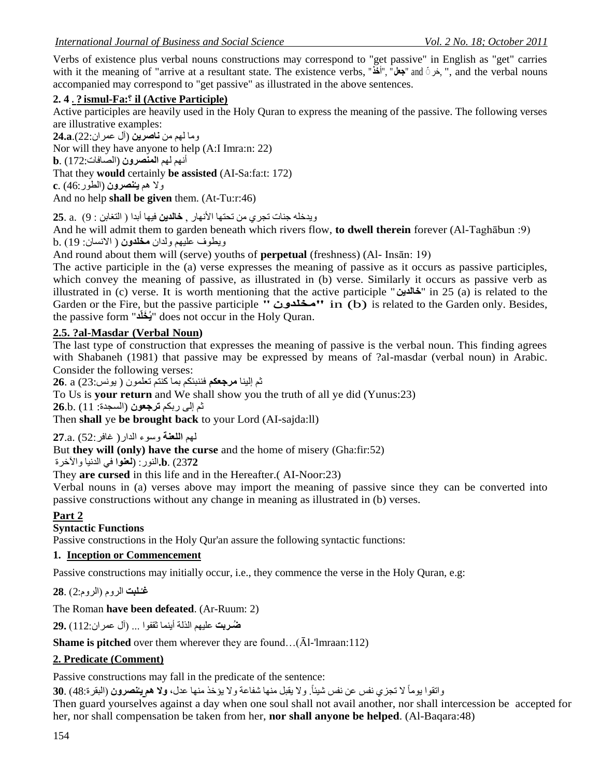Verbs of existence plus verbal nouns constructions may correspond to "get passive" in English as "get" carries with it the meaning of "arrive at a resultant state. The existence verbs, " **أخز**", " **ًجع** "and **ّ** خش," , and the verbal nouns accompanied may correspond to "get passive" as illustrated in the above sentences.

### **2. 4 . ? ismul-Fa:؟ il (Active Participle)**

Active participles are heavily used in the Holy Quran to express the meaning of the passive. The following verses are illustrative examples:

ِٚب ٌُٙ ِٓ **ٔبصشٓ٠** (آي عّشا22:ْ).**a24.** Nor will they have anyone to help (A:I Imra:n: 22) أُٙٔ ٌُٙ **إٌّصشْٚ** (اٌصبفبد172:) .**b** That they **would** certainly **be assisted** (AI-Sa:fa:t: 172) **و لا هم <b>ينصرون** (الطور :46) .c **ُ** And no help **shall be given** them. (At-Tu:r:46)

ويدخله جنات تجري من تحتها الأنهار , **خالدين** فيها أبدا ( التغابن : 9) .25. a.

And he will admit them to garden beneath which rivers flow, **to dwell therein** forever (Al-Taghābun :9) ويطوف عليهم ولدان **مخلدون** ( الانسان: 19 .b

And round about them will (serve) youths of **perpetual** (freshness) (Al- Insān: 19)

The active participle in the (a) verse expresses the meaning of passive as it occurs as passive participles, which convey the meaning of passive, as illustrated in (b) verse. Similarly it occurs as passive verb as illustrated in (c) verse. It is worth mentioning that the active participle "خالدين" in 25 (a) is related to the Garden or the Fire, but the passive participle **"** مخلدون **"** in (b) is related to the Garden only. Besides, the passive form "**ذٍّلخَ ُ٠**" does not occur in the Holy Quran.

#### **2.5. ?al-Masdar (Verbal Noun)**

The last type of construction that expresses the meaning of passive is the verbal noun. This finding agrees with Shabaneh (1981) that passive may be expressed by means of ?al-masdar (verbal noun) in Arabic. Consider the following verses:

ثّم إلينا مرجعكم فننبئكم بما كنتم تعلمون ( يونس:23) a .26.

To Us is **your return** and We shall show you the truth of all ye did (Yunus:23)

ثُ اٌٝ سثىُ **رشجعْٛ** (اٌغدذح: 11) .b**26**.

Then **shall** ye **be brought back** to your Lord (AI-sajda:ll)

ٌُٙ **اٌٍعٕخ** ٚعٛء اٌذاس( غبفش52:) .a**27**.

But **they will (only) have the curse** and the home of misery (Gha:fir:52)

**b**. (23**72).ا**لنور : (**لعنو**ا في الدنيا والآخرة

They **are cursed** in this life and in the Hereafter.( AI-Noor:23)

Verbal nouns in (a) verses above may import the meaning of passive since they can be converted into passive constructions without any change in meaning as illustrated in (b) verses.

#### **Part 2**

#### **Syntactic Functions**

Passive constructions in the Holy Qur'an assure the following syntactic functions:

#### **1. Inception or Commencement**

Passive constructions may initially occur, i.e., they commence the verse in the Holy Quran, e.g:

**غـُـُلبت** الروم (الروم:28 ) **ُ**

The Roman **have been defeated**. (Ar-Ruum: 2)

**ُظـشثذ** عُٙ١ٍ اٌزٌخ إّٔ٠ب ثمفٛا ... )آي عّشا112:ْ( **29.**

**Shame is pitched** over them wherever they are found…(Āl-'lmraan:112)

#### **2. Predicate (Comment)**

Passive constructions may fall in the predicate of the sentence:

واتقوا بوماً لا تجزي نفس عن نفس شيئاً<sub>.</sub> ولا يقبل منها شفاعة ولا يؤخذ منها عدل، **ولا هم يـُنصرون** (البقرة:48) .30 ً **ُ**

Then guard yourselves against a day when one soul shall not avail another, nor shall intercession be accepted for her, nor shall compensation be taken from her, **nor shall anyone be helped**. (Al-Baqara:48)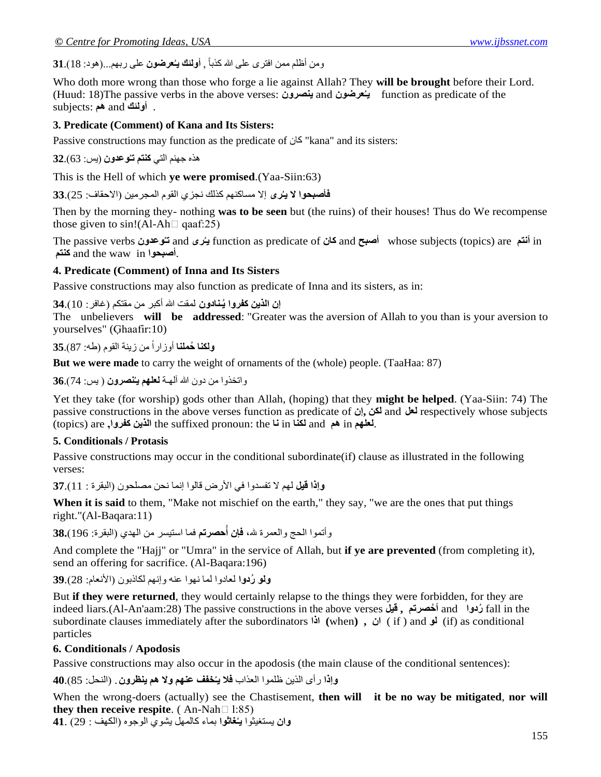ومن أظلم ممن افترى على الله كذباً <sub>,</sub> أ**ولنك يـُعرضون** على ربـهم...(هود: 18).<br>**31** 

Who doth more wrong than those who forge a lie against Allah? They **will be brought** before their Lord. (Huud: 18)The passive verbs in the above verses: **ْٚصشٕ٠** and **ْٛعشظُ ـ٠** function as predicate of the . **أٌٚئه** and **ُ٘** :subjects

#### **3. Predicate (Comment) of Kana and Its Sisters:**

Passive constructions may function as the predicate of  $\geq$  "kana" and its sisters:

هذه جهنم التي **كنتم تـُوعدون** (يس: 32.(63

This is the Hell of which **ye were promised**.(Yaa-Siin:63)

**فأصبحوا لا يئر ِي إلا مساكنهم كذلك نجزي القوم المجرمين (الاحقاف: 25).33<br>.** 

Then by the morning they- nothing **was to be seen** but (the ruins) of their houses! Thus do We recompense those given to sin!(Al-Ah $\Box$  qaaf:25)

The passive verbs **ْٚعذُٛ ُشٜ** and **رـ ـ٠** function as predicate of **ْوب** and **أصجح** whose subjects (topics) are **ُزٔأ** in **. أصبحوا and the waw in كنتم** 

#### **4. Predicate (Comment) of Inna and Its Sisters**

Passive constructions may also function as predicate of Inna and its sisters, as in:

**إِنْ الذينِ كفروا يُـنـادونِ** لمقت الله أكبر من مقتكم (غافر : 34.(10

The unbelievers **will be addressed**: "Greater was the aversion of Allah to you than is your aversion to yourselves" (Ghaafir:10)

**ولكنا حُملنا** أوزاراً من زينة القوم (طه: 87).35

**But we were made** to carry the weight of ornaments of the (whole) people. (TaaHaa: 87)

**واتخذوا من دون الله ألهـة لمعلهم يـُنصرون ( بس: 74).36 ُ**

Yet they take (for worship) gods other than Allah, (hoping) that they **might be helped**. (Yaa-Siin: 74) The passive constructions in the above verses function as predicate of **ْإ, ٓىٌ** and **ًعٌ** respectively whose subjects  $\frac{1}{2}$ in the suffixed pronoun: the لكنّا and هم and **به in بالغين كفروا,** and **and بالغين** مِنْ

#### **5. Conditionals / Protasis**

Passive constructions may occur in the conditional subordinate(if) clause as illustrated in the following verses:

وإ**ذا قيل ل**هم لا تفسدوا في الأرض قالوا إنما نحن مصلحون (البقرة : 11).**37**.

**When it is said** to them, "Make not mischief on the earth," they say, "we are the ones that put things right."(Al-Baqara:11)

وأتموا الحج والعمرة لله، **فإن أُحصرتم** فما استيسر من الهدي (البقرة: 196**).38** 

And complete the "Hajj" or "Umra" in the service of Allah, but **if ye are prevented** (from completing it), send an offering for sacrifice. (Al-Baqara:196)

**ولو رُدوا ل**عادوا لما نهوا عنه وإنهم لكاذبون (الأنعام: 39.(28

But **if they were returned**, they would certainly relapse to the things they were forbidden, for they are indeed liars.(Al-An'aam:28) The passive constructions in the above verses **ً١ل , ُحصشرُ أ** and **اٚسدُ** fall in the subordinate clauses immediately after the subordinators **(if) (videom**) **(videom) (if)** as conditional particles

#### **6. Conditionals / Apodosis**

Passive constructions may also occur in the apodosis (the main clause of the conditional sentences):

**و**إِذَا رأى الذين ظلموا العذاب **فلا يُحْفف عَنهم ولا هم ينظرون** . (النحل: 85).40

When the wrong-doers (actually) see the Chastisement, **then will it be no way be mitigated**, **nor will they then receive respite.** ( $An-Nah \square 1:85$ )

**وان** يستغيثوا **يـُغاثو**ا بماء كالمهل يشوي الوجوه (الكهف : 29) .**41**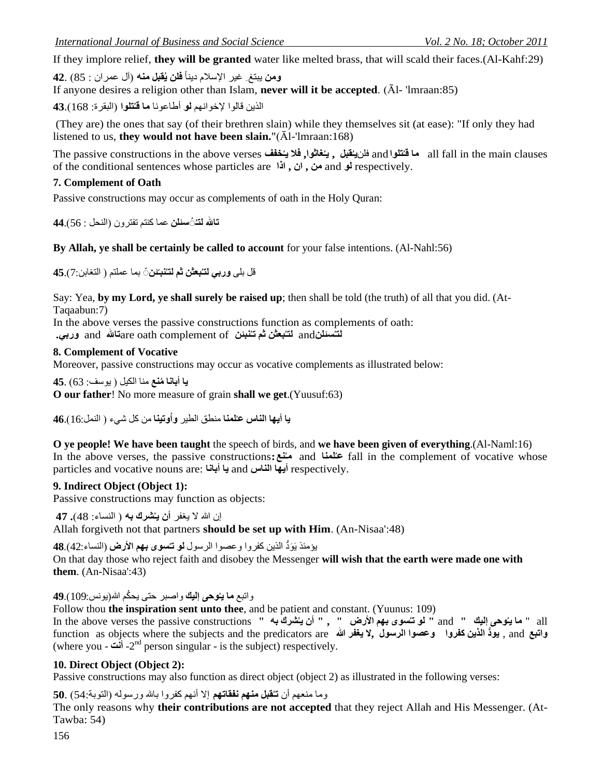If they implore relief, **they will be granted** water like melted brass, that will scald their faces.(Al-Kahf:29)

**ومن** يبتغ ِ غير الإسلام ديناً **فنن يُقبل منه** (آل عمران : 85) .42 ً

If anyone desires a religion other than Islam, **never will it be accepted**. (Āl- 'lmraan:85)

الذين قالو الإخوانهم **لو** أطاعونا **ما قُنتلوا** (البقرة: 168).**43** 

(They are) the ones that say (of their brethren slain) while they themselves sit (at ease): "If only they had listened to us, **they would not have been slain.**"(Āl-'lmraan:168)

The passive constructions in the above verses فَالْمَنْ يُثقِلُ , يُنْغَاثُوا, فَلا يُنْخِفْفُ The passive constructions in the above verses **ُ ُ** of the conditional sentences whose particles are **ارا , ْا , ِٓ** and **ٌٛ** respectively.

## **7. Complement of Oath**

Passive constructions may occur as complements of oath in the Holy Quran:

**تالله لتـُـُـسئلن** عما كنتم تفترون (النحل : 56).44 **ُ**

## **By Allah, ye shall be certainly be called to account** for your false intentions. (Al-Nahl:56)

قل بلي **وربي لتـُبعثن ثم لتـُنبـَئن**ّ بما عملتم ( النغابن:7).45 **ّ ُ ُ**

Say: Yea, **by my Lord, ye shall surely be raised up**; then shall be told (the truth) of all that you did. (At-Taqaabun:7)

In the above verses the passive constructions function as complements of oath: **ٌزـ** and **ٕجئٓ ُغئٍٓ جعثٓ ثُ رـ .سثٟٚ** and **ربهلل**are oath complement of **زـٌ ُ ُ**

#### **8. Complement of Vocative**

Moreover, passive constructions may occur as vocative complements as illustrated below:

: 63( **45**. **ُِ** ِٕب اٌىً١ ) ٛ٠عف **٠ب أثبٔب ٕع O our father**! No more measure of grain **shall we get**.(Yuusuf:63)

**يـ' أيـهـ' النـْاس عـُلمنـا** منطـق الطير وأوت**ينـا** من كل شيء ( النمل:16.) 16. **ُ**

**O ye people! We have been taught** the speech of birds, and **we have been given of everything**.(Al-Naml:16) In the above verses, the passive constructions: عَنْمَنَا and عَنْمَنَا and **بِمَّنْ** fall in the complement of vocative whose **ُ ُ** particles and vocative nouns are: **يا أبانا and يا أبان**ه and **particles** and vocative nouns are:

#### **9. Indirect Object (Object 1):**

Passive constructions may function as objects:

إن الله لا يغفر أ**ن يُشرك به** ( النساء: 48)**. 47 ُ**

Allah forgiveth not that partners **should be set up with Him**. (An-Nisaa':48)

**ي**ؤمئذ يَوَدَّ الذين كفروا وعصوا الرسول **لو تـُسوى بـهم الأرض** (النساء:4**8**.42) **ُ**

On that day those who reject faith and disobey the Messenger **will wish that the earth were made one with them**. (An-Nisaa':43)

**و** اتبع **ما يـُوحى إليكَ** واصبر حتى يحكُم الله(يونس:109).**49** 

Follow thou **the inspiration sent unto thee**, and be patient and constant. (Yuunus: 109)

all " ما يُوهي إليك " and **" لو تُسوى بهم الأرض " , " أن يُشرِك به " and " ما يُوهي إليك " and " لو تُسوى بهم الأرض " , " أن يُشرِك به " و In the above verses the passive constructions Example , يودُّ الذّين كفروا وعصوا الرسول ,لا يغفر الله function as objects where the subjects and the predicators are** -2 **أٔذ** - you where( nd person singular - is the subject) respectively.

#### **10. Direct Object (Object 2):**

Passive constructions may also function as direct object (object 2) as illustrated in the following verses:

وما منعهم أن **تنقبل منهم نفقاتهم** إلا أنهم كفروا بالله ورسوله (التوبة:5**0**. (**5**0

The only reasons why **their contributions are not accepted** that they reject Allah and His Messenger. (At-Tawba: 54)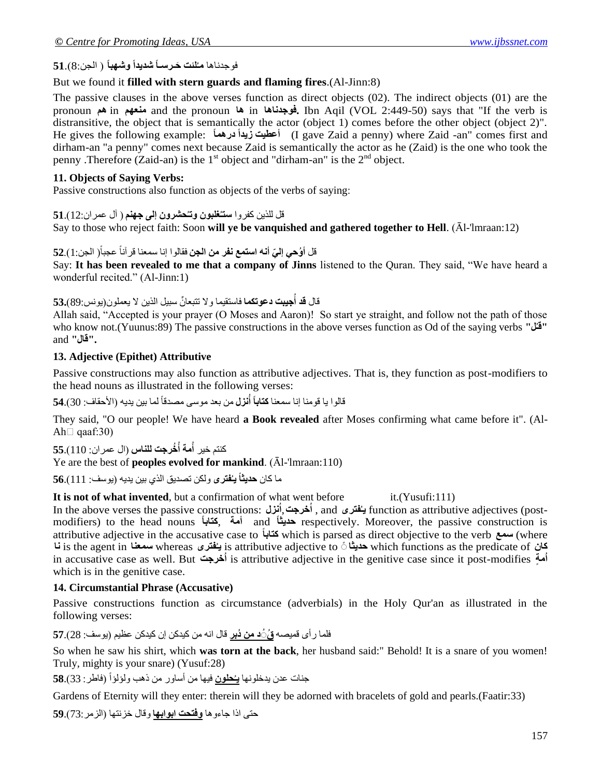#### فوجدناها **مـُلئت حَـرسـاً شديداً وشـهباً** ( الجن:8).51 **ُ**

#### But we found it **filled with stern guards and flaming fires**.(Al-Jinn:8)

The passive clauses in the above verses function as direct objects (02). The indirect objects (01) are the pronoun **ُ٘** in **ُٙعِٕ** and the pronoun **ب٘** in **ب٘بٔجذٛف.** Ibn Aqil (VOL 2:449-50) says that "If the verb is distransitive, the object that is semantically the actor (object 1) comes before the other object (object 2)". He gives the following example: **اًبّ٘دس اًذا٠ص ذ١أعط**) I gave Zaid a penny) where Zaid -an" comes first and dirham-an "a penny" comes next because Zaid is semantically the actor as he (Zaid) is the one who took the penny .Therefore (Zaid-an) is the  $1<sup>st</sup>$  object and "dirham-an" is the  $2<sup>nd</sup>$  object.

#### **11. Objects of Saying Verbs:**

Passive constructions also function as objects of the verbs of saying:

#### قل للذين كفروا **ستنغلبون وتنحشرون إلى جهنم** ( أل عمران:12).5**1 ُ**

Say to those who reject faith: Soon **will ye be vanquished and gathered together to Hell**. (Āl-'lmraan:12)

#### قل **أَوُحي إليّ أنه استمع نفر من الجن** فقالوا إنا سمعنا قر آناً عجباً( الجن:1).52 ً

Say: **It has been revealed to me that a company of Jinns** listened to the Quran. They said, "We have heard a wonderful recited." (Al-Jinn:1)

# قال **قد أُجيبت دعوتكما** فاستقيما ولا تتبعانٍّ سبيل الذين لا يعملون(يونس:89),53

Allah said, "Accepted is your prayer (O Moses and Aaron)! So start ye straight, and follow not the path of those who know not.(Yuunus:89) The passive constructions in the above verses function as Od of the saying verbs **"ًُ "لـ ."لبي"** and

#### **13. Adjective (Epithet) Attributive**

Passive constructions may also function as attributive adjectives. That is, they function as post-modifiers to the head nouns as illustrated in the following verses:

قالوا يا قومنا إنا سمعنا **كتاباً أُنزل** من بعد موسى مصدقاً لما بين يديه (الأحقاف: 30).54 ً

They said, "O our people! We have heard **a Book revealed** after Moses confirming what came before it". (Al-Ah $\Box$  qaaf:30)

**ُ**كنتم خير أُ**مة أُخُرجت للناس** (ال عمر ان: 110).55

Ye are the best of **peoples evolved for mankind**. (Āl-'lmraan:110)

ـ ما كان **حديثاً يـُفتر ى** ولكن تصديق الذي بين يديه (يوسف: 5**6**.(111 **ُ**

**It is not of what invented**, but a confirmation of what went before it.(Yusufi:111)

In the above verses the passive constructions: **ضئُا**,**خشجذُا** , and **ٜفزشُ ـ٠** function as attributive adjectives (postmodifiers) to the head nouns اَمة, بِحَتاباً and أَضباً and **in** respectively. Moreover, the passive construction is attributive adjective in the accusative case to **اًوزبثب** which is parsed as direct objective to the verb **عّع**) where لمجمعة is the agent in تا is the agent in محديثاتَ is attributive adjective to أبغتن which functions as the predicate of بالمسمعة in accusative case as well. But **خشجذُا** is attributive adjective in the genitive case since it post-modifies **ةخٍ ُِا** which is in the genitive case.

#### **14. Circumstantial Phrase (Accusative)**

Passive constructions function as circumstance (adverbials) in the Holy Qur'an as illustrated in the following verses:

فلما ر أي قميصـه قُنُّد **من دُبر** قال انه من كيدكن إن كيدكن عظيم (يوسف: 28).5**7** 

So when he saw his shirt, which **was torn at the back**, her husband said:" Behold! It is a snare of you women! Truly, mighty is your snare) (Yusuf:28)

جنات عدن يدخلونها <u>يُحلون</u> فيها من أساور من ذهب ولؤلؤا (فاطر : 33).**58** ً

Gardens of Eternity will they enter: therein will they be adorned with bracelets of gold and pearls.(Faatir:33)

حتى اذا جاءوها **وفتحت ابوابها** وقال خزنتها (الزمر :73).59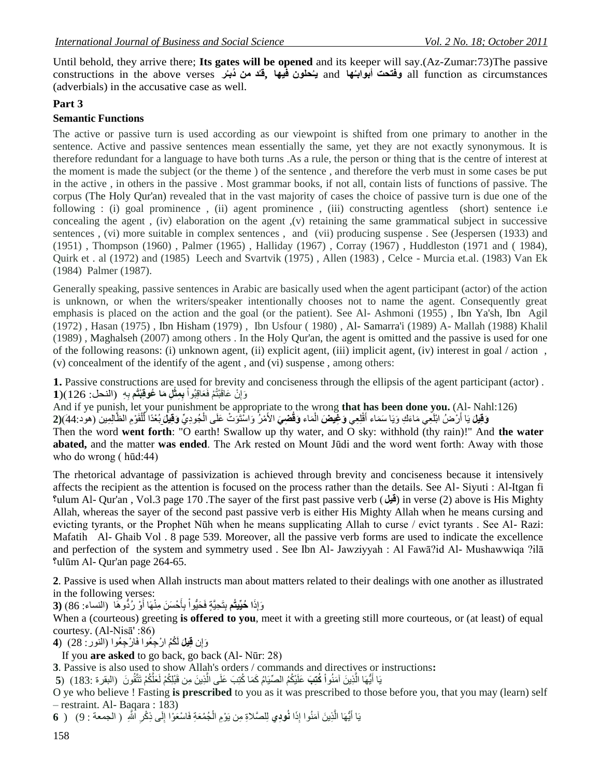Until behold, they arrive there; **Its gates will be opened** and its keeper will say.(Az-Zumar:73)The passive constructions in the above verses **ذُ ش ِٓ لـ ُ ُحٍْٛ , ُدثـ ُٙب** and **٠ـ فٙ١ب اثـٛأث فزحذٚ** all function as circumstances (adverbials) in the accusative case as well.

#### **Part 3**

#### **Semantic Functions**

The active or passive turn is used according as our viewpoint is shifted from one primary to another in the sentence. Active and passive sentences mean essentially the same, yet they are not exactly synonymous. It is therefore redundant for a language to have both turns .As a rule, the person or thing that is the centre of interest at the moment is made the subject (or the theme ) of the sentence , and therefore the verb must in some cases be put in the active , in others in the passive . Most grammar books, if not all, contain lists of functions of passive. The corpus (The Holy Qur'an) revealed that in the vast majority of cases the choice of passive turn is due one of the following : (i) goal prominence, (ii) agent prominence, (iii) constructing agentless (short) sentence i.e concealing the agent , (iv) elaboration on the agent ,(v) retaining the same grammatical subject in successive sentences , (vi) more suitable in complex sentences , and (vii) producing suspense . See (Jespersen (1933) and (1951) , Thompson (1960) , Palmer (1965) , Halliday (1967) , Corray (1967) , Huddleston (1971 and ( 1984), Quirk et . al (1972) and (1985) Leech and Svartvik (1975) , Allen (1983) , Celce - Murcia et.al. (1983) Van Ek (1984) Palmer (1987).

Generally speaking, passive sentences in Arabic are basically used when the agent participant (actor) of the action is unknown, or when the writers/speaker intentionally chooses not to name the agent. Consequently great emphasis is placed on the action and the goal (or the patient). See Al- Ashmoni (1955) , Ibn Ya'sh, Ibn Agil (1972) , Hasan (1975) , Ibn Hisham (1979) , Ibn Usfour ( 1980) , Al- Samarra'i (1989) A- Mallah (1988) Khalil (1989) , Maghalseh (2007) among others . In the Holy Qur'an, the agent is omitted and the passive is used for one of the following reasons: (i) unknown agent, (ii) explicit agent, (iii) implicit agent, (iv) interest in goal / action , (v) concealment of the identify of the agent , and (vi) suspense , among others:

**1.** Passive constructions are used for brevity and conciseness through the ellipsis of the agent participant (actor) . وَإِنْ عَاقَبْتُمْ فَعَاقِبُواْ **بِمِثْلِ مَا عُوقِبْتُ**م بِهِ ۖ (النحل: 126)(1 ْ ِ

And if ye punish, let your punishment be appropriate to the wrong **that has been done you.** (Al- Nahl:126) **وَقِيلَ** يَا أَرْضُ ابْلَعِي مَاءَكِ وَيَا سَمَاء أَقْلِعِي **وَغِيضَ** الْمَاء **وَقُضِيَ** الأَمْرُ وَاسْتَوَتْ عَلَى الْجُودِيِّ **وَقِيلَ بُ**حْدًا لِّلْقَوْمِ الظَّالِمِين (هود:44)(2 َ ْ ْ ْ

Then the word **went forth**: "O earth! Swallow up thy water, and O sky: withhold (thy rain)!" And **the water abated,** and the matter **was ended**. The Ark rested on Mount Jūdi and the word went forth: Away with those who do wrong ( hūd:44)

The rhetorical advantage of passivization is achieved through brevity and conciseness because it intensively affects the recipient as the attention is focused on the process rather than the details. See Al- Siyuti : Al-Itgan fi **؟**ulum Al- Qur'an , Vol.3 page 170 .The sayer of the first past passive verb ) **ً١ل** (in verse (2) above is His Mighty Allah, whereas the sayer of the second past passive verb is either His Mighty Allah when he means cursing and evicting tyrants, or the Prophet Nūh when he means supplicating Allah to curse / evict tyrants . See Al- Razi: Mafatih Al- Ghaib Vol . 8 page 539. Moreover, all the passive verb forms are used to indicate the excellence and perfection of the system and symmetry used . See Ibn Al- Jawziyyah : Al Fawā?id Al- Mushawwiqa ?ilā **؟**ulūm Al- Qur'an page 264-65.

**2**. Passive is used when Allah instructs man about matters related to their dealings with one another as illustrated in the following verses:

وَإِذَا **حُيِّيتُم** بِتَحِيَّةٍ فَحَيُّواْ بِأَحْسَنَ مِنْهَا أَوْ رُدُّوهَا ۖ (النساء: 86) (3 ِ َ َ ِ ْ ِ

When a (courteous) greeting **is offered to you**, meet it with a greeting still more courteous, or (at least) of equal courtesy. (Al-Nisā' :86)

وَإِن **قِيلَ** لَكُمُ ارْجِعُوا فَارْجِعُوا (النور : 28) (4

If you **are asked** to go back, go back (Al- Nūr: 28)

**3**. Passive is also used to show Allah's orders / commands and directives or instructions**:**

يَا أَيُّهَا الَّذِينَ آمَنُو ل**ْ كُتِبَ** عَلَيْكُمُ الصِّيَامُ كَمَا كُتِبَ عَلَى الَّذِينَ مِن قَبْلِكُمْ لَعَلَّكُمْ تَتَّقُونَ (البقر ة :183) (**5** َّ َّ

O ye who believe ! Fasting **is prescribed** to you as it was prescribed to those before you, that you may (learn) self – restraint. Al- Baqara : 183)

يَا أَيُّهَا الَّذِينَ آمَنُوا إِذَا **نُودِي** لِلصَّلاةِ مِن يَوْمِ الْجُمُعَةِ فَاسْعَوْا إِلَى ذِكْرِ الَّلْهِ ( الجمعة : 9) ( 6 ِ َّ َ ِ ْ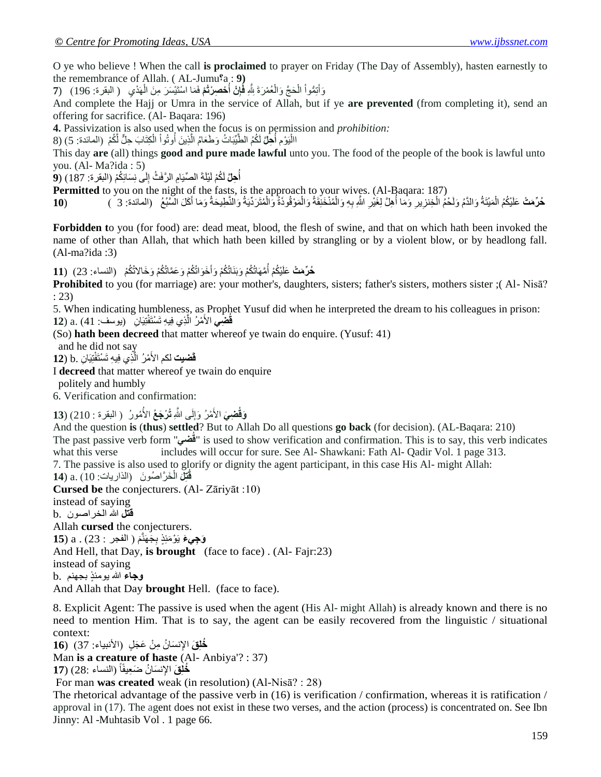O ye who believe ! When the call **is proclaimed** to prayer on Friday (The Day of Assembly), hasten earnestly to the remembrance of Allah. ( AL-Jumu؟a : **9)**

وَأَتِمُّواْ الْحَجَّ وَالْعُمْرَةَ بَثَّهِ **فَإِنْ أَحْصِرْتُمْ** فَمَا اسْتَيْسَرَ مِنَ الْهَدْيِ ( النقرة: 196 ) (**7** ْ ْ ْ َ **ُ ِز** ْ

And complete the Hajj or Umra in the service of Allah, but if ye **are prevented** (from completing it), send an offering for sacrifice. (Al- Baqara: 196)

**4.** Passivization is also used when the focus is on permission and *prohibition:*

االْيَوْم أُ**حِْلَ**َ لَكُمُ الطَّيِّبَاتُ وَطَعَامُ الَّذِينَ أُوتُواْ الْكِتَابَ حِلٍّ لَّكُمْ ۖ (المائدة: 5) (8 ْ ْ ْ ا<br>أ َّ

This day **are** (all) things **good and pure made lawful** unto you. The food of the people of the book is lawful unto you. (Al- Ma?ida : 5)

أُ**حِلَ**ّ لَكُمْ لَيْلَةَ الصِّيَامِ الرَّفَثُّ إِلَى نِسَائِكُمْ (البقرة: 187) (9 ِ

**Permitted** to you on the night of the fasts, is the approach to your wives. (Al-Baqara: 187)

هُرِّمَتْ عَلَيْكُمُ الْمَيْتَةُ وَالدَّمُ وَلَحْمُ الْخِنزِيرِ وَمَا أُهِلَّ لِغَيْرِ اللَّهِ بِهِ وَالْمُنْخَنِّقَةُ وَالْمَوْقُوذَةُ وَالْمُتَرَدِّيَةُ وَالشَّلِيحَةُ وَالشَّالِيلَ مِنْ وَالْمُنْخَذِقَةُ وَالْمُتَرَدِّي َ ْ ْ ْ **∫** ْ ْ

**Forbidden t**o you (for food) are: dead meat, blood, the flesh of swine, and that on which hath been invoked the name of other than Allah, that which hath been killed by strangling or by a violent blow, or by headlong fall. (Al-ma?ida :3)

**حُرِّمَتْ** عَلَيْكُمْ أُمَّهَاتُكُمْ وَبَذَاتُكُمْ وَأَخَوَاتُكُمْ وَعَمَّاتُكُمْ وَخَالاتُكُمْ (النساء: 23) (**11** َ اُ

**Prohibited** to you (for marriage) are: your mother's, daughters, sisters; father's sisters, mothers sister ;( Al- Nisā? : 23)

5. When indicating humbleness, as Prophet Yusuf did when he interpreted the dream to his colleagues in prison: **قُضِّي** الأَمْرُ الَّذِي فِيهِ تَسْتَفْتِيَانِ ۖ (يوسف: 41) .a. (41 َّ

(So) **hath been decreed** that matter whereof ye twain do enquire. (Yusuf: 41)

and he did not say

**12**)  $\boldsymbol{\mathrm{b}}$ . فَضيت لكم الأَمْرُ الَّذِي فِيهِ تَسْتَفْتِيَانِ َّ

I **decreed** that matter whereof ye twain do enquire

politely and humbly

6. Verification and confirmation:

**وَقُضِيَ** الأَمْرُ وَإِلَى اللَّهِ **تُرْجَعُ** الأُمُورُ ۚ ( البقرة : 210) (**13 ُ** ِ

And the question **is** (**thus**) **settled**? But to Allah Do all questions **go back** (for decision). (AL-Baqara: 210) The past passive verb form "**عُٟل** "is used to show verification and confirmation. This is to say, this verb indicates what this verse includes will occur for sure. See Al- Shawkani: Fath Al- Oadir Vol. 1 page 313. 7. The passive is also used to glorify or dignity the agent participant, in this case His Al- might Allah:

**ثَتِلَ** الْخَرَّاصُونَ (الذاريات: 10) a. (10 ْ

**Cursed be** the conjecturers. (Al- Zāriyāt :10)

instead of saying **لزً** هللا اٌخشاصْٛ .b Allah **cursed** the conjecturers. **وَجِيءَ** يَوْمَئِذٍ بِجِّهَنَّمَ ( الفجر : 23) . a (**15**) And Hell, that Day, **is brought** (face to face) . (Al- Fajr:23) instead of saying **b.** و**جاء** الله يومئذِ بجهنم And Allah that Day **brought** Hell. (face to face).

8. Explicit Agent: The passive is used when the agent (His Al- might Allah) is already known and there is no need to mention Him. That is to say, the agent can be easily recovered from the linguistic / situational context:

**كُلِق**َ الإِنسَانُ مِنْ عَجَلٍ ۖ (الأنبياء: 37)  $\,$  **16**)

Man **is a creature of haste** (Al- Anbiya'? : 37)

**مُخْلِقَ** الإِنسَانُ ضَعِيفًاً (النساء :28) (**17** 

For man **was created** weak (in resolution) (Al-Nisā? : 28)

The rhetorical advantage of the passive verb in (16) is verification / confirmation, whereas it is ratification / approval in (17). The agent does not exist in these two verses, and the action (process) is concentrated on. See Ibn Jinny: Al -Muhtasib Vol . 1 page 66.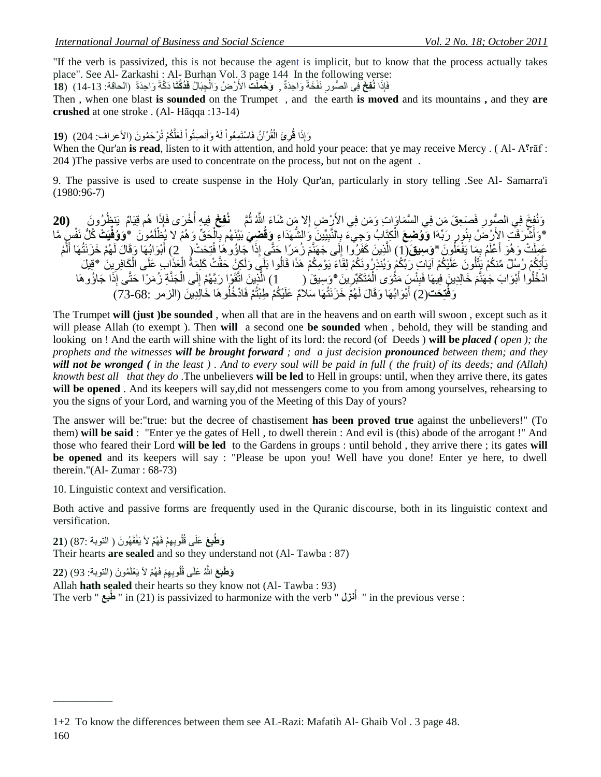"If the verb is passivized, this is not because the agent is implicit, but to know that the process actually takes place". See Al- Zarkashi : Al- Burhan Vol. 3 page 144 In the following verse:

فَإِذَا **نُفِخَ** فِي الصُّورِ نَفْخَةٌ وَاحِدَةٌ , ۖ وَ**حُمِّلَتُ** الأَرْضُ وَالْجِبَالُ **فَذُمَّ**نَا دَكَّةً وَاحِدَةً ۚ (الحاقة: 13-14) ۚ (18 ْ ׀וּ

Then , when one blast **is sounded** on the Trumpet , and the earth **is moved** and its mountains **,** and they **are crushed** at one stroke . (Al- Hāqqa :13-14)

#### وَإِذَا **قُرِيَ** الْقُرْآنُ فَاسْتَمِعُواْ لَهُ وَأَنصِتُواْ لَعَلَّكُمْ تُرْحَمُونَ (الأعراف: 204) (**19** ِ َّ ٌَ ْ َ ْ

When the Qur'an **is read**, listen to it with attention, and hold your peace: that ye may receive Mercy . (Al-A<sup>e</sup>raf: 204 )The passive verbs are used to concentrate on the process, but not on the agent .

9. The passive is used to create suspense in the Holy Qur'an, particularly in story telling .See Al- Samarra'i (1980:96-7)

وَنُفِخَ فِي الصُّورِ فَصَعِقَ مَن فِي السَّمَاوَاتِ وَمَن فِي الأَرْضِ إِلا مَن شَاءَ اللَّهُ ثُمَّ **ثُفِخَ** فِيهِ أُخْرَى فَإِذَا هُم قِيَامٌ يَنظُرُونَ (20<br>وَنُفِخَ فِي الصُّورِ الصُّدِيعِ السَّمَاوَاتِ وَمَ ر<br>: ار<br>ءِ أ \*وَأَشْرَقَتِ الإِزْمَـٰنُ بِنُورٍ رَبِّهَا وَوُضِعَ الْكِتَابُ وَجِيءَ بِالنَّبِيِّينَ وَالشُّهَدَاءِ وَقُضِيَ بُيْنَهُم بِالْحَقِّ وَهُمْ لا يُطْلَمُونَ \*وَوَفَهَيْتْ كُلُّ نَفْسٍ مَّا **∶** ْ ْ **∶** ِ ِ ْ عَمِلَتْ وَهُوَ أَعْلَمُ بِمَا يَفْعَلُونَ \*وَسِيقَ(1) الَّذِينَ كَفَرُوا إِلَى جَهَنَّمَ زُمَرًا حَتَّى إِذَا جَاؤُوهَا فُتِحَتْ( ¸2) أَبْوَابُهَا وَقَالَ لَهُمْ خَزَنَتُهَا أَلَمْ َ ِّ َ َ ِ ِ َّ يَأْتِكُمْ رُسُلٌ مِّنكُمْ يَتْْلُونَ عَلَيْكُمْ آيَاتٍ رَبَّكُمْ وَيُنذِرُ ونَكُمْ لِقَاءَ يَوْمِكُمْ هَذَا قَالُوا بَلَيَ وَلَكِنْ حَقَّتْ كَلِمَةُ الْعَذَابِ عَلَى الْكَافِرِينَ \*قِيلَ ْ ْ ْ ادْخُلُوا أَبْوَابَ جَهَنَّمَ خَالِدِينَ فِيهَا فَبِئْسٍ مَثْوَى الْمُتَكَبِّرِينَ\*وَسِيقَۚ ( 1) الَّذِينَ اتَّقَوْا رَبَّهُمْ إِلَى الْجَذَّةِ زُمَرًا حَتَّى إِذَا جَاؤُو هَا ْ ْ **∶** َ َ ِ ْ  $\frac{1}{2}$ َّ وَ**فُتِحَت**(2) أَبْوَابُهَا وَقَالَ لَهُمَّ خَزَنَتُهَا سَلاَمٌ عَلَيْكُمْ طِبْتُمْ فَادْخُلُوهَا خَالِدِينَ (الزمر :68-73) ُ

The Trumpet **will (just )be sounded** , when all that are in the heavens and on earth will swoon , except such as it will please Allah (to exempt ). Then **will** a second one **be sounded** when , behold, they will be standing and looking on ! And the earth will shine with the light of its lord: the record (of Deeds ) **will be** *placed ( open ); the prophets and the witnesses will be brought forward ; and a just decision pronounced between them; and they will not be wronged ( in the least ) . And to every soul will be paid in full ( the fruit) of its deeds; and (Allah) knowth best all that they do* .The unbelievers **will be led** to Hell in groups: until, when they arrive there, its gates **will be opened** . And its keepers will say,did not messengers come to you from among yourselves, rehearsing to you the signs of your Lord, and warning you of the Meeting of this Day of yours?

The answer will be:"true: but the decree of chastisement **has been proved true** against the unbelievers!" (To them) **will be said** : "Enter ye the gates of Hell , to dwell therein : And evil is (this) abode of the arrogant !" And those who feared their Lord **will be led** to the Gardens in groups : until behold , they arrive there ; its gates **will be opened** and its keepers will say : "Please be upon you! Well have you done! Enter ye here, to dwell therein."(Al- Zumar : 68-73)

10. Linguistic context and versification.

Both active and passive forms are frequently used in the Quranic discourse, both in its linguistic context and versification.

**وَطْبِعَ** عَلَى قُلُوبِهِمْ فَهُمْ لاَ يَفْقَهُونَ ( النوبة :87) (21 Their hearts **are sealed** and so they understand not (Al- Tawba : 87)

**وَطَبَعَ** اللَّهُ عَلَى قُلُوبِهِمْ فَهُمْ لاَ يَعْلَمُونَ (النوبة: 93) (**22** 

Allah **hath sealed** their hearts so they know not (Al- Tawba : 93)

The verb " **جع ُغ** " in (21) is passivized to harmonize with the verb " **ضئ أ** " in the previous verse : **ُ**

\_\_\_\_\_\_\_\_\_\_\_

<sup>1+2</sup> To know the differences between them see AL-Razi: Mafatih Al- Ghaib Vol . 3 page 48.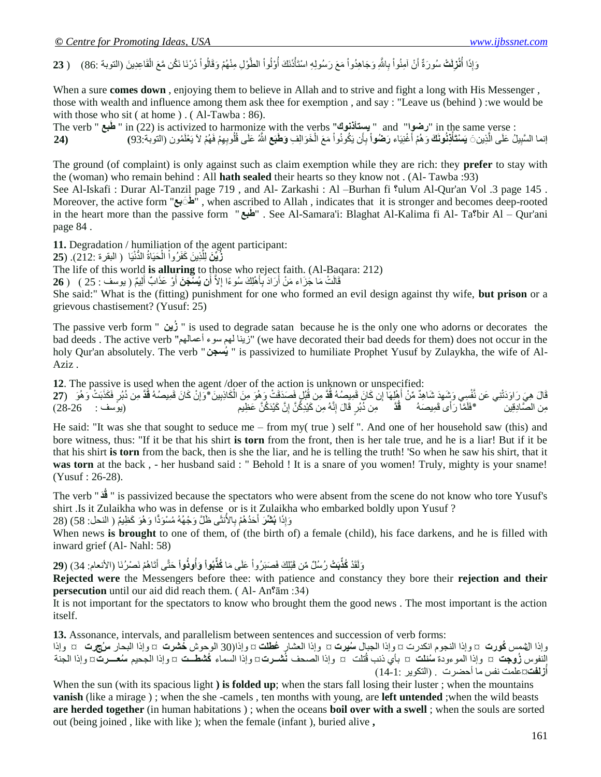وَإِذَا أُفُرْلَتْ سُورَةٌ أَنْ آمِنُواْ بِاللَّهِ وَجَاهِدُواْ مَعَ رَسُولِهِ اسْتَأْذَنَكَ أُوْلُواْ الطَّوْلِ مِنْهُمْ وَقَالُواْ ذَرْنَا نَكُن مَّعَ الْقَاعِدِينَ (النوبة :86) ٪ ( 23 ِ ْ ْ ْ ا<br>المناصب<br>المناصب ْ ْ ِ ْ َ

When a sure **comes down** , enjoying them to believe in Allah and to strive and fight a long with His Messenger , those with wealth and influence among them ask thee for exemption , and say : "Leave us (behind ) :we would be with those who sit ( at home ). ( Al-Tawba : 86).

: in the same yerse "ويضوا" and "يعبتانموك" in (22) is activized to harmonize with the verbs "ي هابع " and إنما السَّبِيلُ عَلَى الَّذِين َ **يَسْتَأْذِنُونَكَ** وَهُمْ أَغْنِيَاء رَ**ضُواْ** بِأَن يَكُونُواْ مَعَ الْخَوَالِفِ **وَطَبَع** اللَّهُ عَلَى قُلُوبِهِمْ فَهُمْ لاَ يَعْلَمُون (التوبة:93) مستقط (24 َّ ْ ْ

The ground (of complaint) is only against such as claim exemption while they are rich: they **prefer** to stay with the (woman) who remain behind : All **hath sealed** their hearts so they know not . (Al- Tawba :93)

See Al-Iskafi : Durar Al-Tanzil page 719 , and Al- Zarkashi : Al –Burhan fi **؟**ulum Al-Qur'an Vol .3 page 145 . Moreover, the active form " **لَ ثع لَغ** ", when ascribed to Allah , indicates that it is stronger and becomes deep-rooted in the heart more than the passive form " **جع لَغ** ". See Al-Samara'i: Blaghat Al-Kalima fi Al- Ta**؟**bir Al – Qur'ani page 84 .

**11.** Degradation / humiliation of the agent participant:

 $\bf 25)$  .(212: أَلْفَنْهَا الدُّنْيَا ( البقرة :212). (25 ْ ْ

The life of this world **is alluring** to those who reject faith. (Al-Baqara: 212)

ُ قَالَتْ مَا جَزَاء مَنْ أَرَادَ بِأَهْلِكَ سُوءًا إِلاَّ أَ**ن يُسُلَّجَنَ** أَوْ عَذَابٌ أَلِيمٌ ( يوسف : 25 ) ( **26** َ ِ َ َ

She said:" What is the (fitting) punishment for one who formed an evil design against thy wife, **but prison** or a grievous chastisement? (Yusuf: 25)

The passive verb form " **ٓ٠صُ** " is used to degrade satan because he is the only one who adorns or decorates the bad deeds . The active verb "أَبِنا لهم سوء أعصالهم" (we have decorated their bad deeds for them) does not occur in the holy Qur'an absolutely. The verb "**ٓغمُ٠** " is passivized to humiliate Prophet Yusuf by Zulaykha, the wife of Al-Aziz .

**12**. The passive is used when the agent /doer of the action is unknown or unspecified: قَالَ هِيَ رَاوَدَتْنِي عَن نَّفْسِِي وَشَهِدَ شَاهِدٌ مِّنْ أَهْلِهَا إن كَانَ قَمِيصُهُ قُدَّ مِن قُبُلٍ فَصَدَقَتْ وَهُوَ مِنَ الْكَاذِبِينَ\*وَإِنْ كَانَ قَمِيصُهُ قُدَّ مِن قُبُلٍ مَصَدَقَتْ وَهُوَ رَبِي الْكَاذِبِينَ\* َ **ُ** ِ ْ ِِٓ اٌ َّصب ِدلٓ١ِ ١ِّ َصُٗ َٜ لَ َّّب َسأ فٍَ **َّرذ** َ ِ **ل** َّْ َوَ١ْذ ُو َّٓ َع ِظُ١ **ُ** َُِّٗٔ ِِٓ َوِ١ْذ ُو َّٓ ا ٍش لَب َي ا ِِٓ ُدثُ )ٛ٠عف : 28-26(

He said: "It was she that sought to seduce me – from my( true ) self ". And one of her household saw (this) and bore witness, thus: "If it be that his shirt **is torn** from the front, then is her tale true, and he is a liar! But if it be that his shirt **is torn** from the back, then is she the liar, and he is telling the truth! 'So when he saw his shirt, that it **was torn** at the back, - her husband said : " Behold ! It is a snare of you women! Truly, mighty is your sname! (Yusuf : 26-28).

The verb " **لذَ ُل** " is passivized because the spectators who were absent from the scene do not know who tore Yusuf's shirt .Is it Zulaikha who was in defense or is it Zulaikha who embarked boldly upon Yusuf ? وَإِذَا **بُشِّرَ** أَحَدُهُمْ بِالأُنثَى ظُلَّ وَجْهُهُ مُسْوَدًّا وَهُوَ كَظِيمٌ ( النحل: 58) (28 ِ َ

**∶** When news **is brought** to one of them, of (the birth of) a female (child), his face darkens, and he is filled with inward grief (Al- Nahl: 58)

وَلَقَدْ **كُذَّبَتْ** رُسُلٌ مِّن قَبْلِكَ فَصَبَرُواْ عَلَى مَا **كُذّْبُواْ وَأُوذُواْ** حَتَّى أَتَاهُمْ نَصْرُنَا (الأنعام: 34) (**29 ِّب** ْ **ِّب**

**Rejected were** the Messengers before thee: with patience and constancy they bore their **rejection and their persecution** until our aid did reach them. (Al-An<sup>o</sup>s<sup>34</sup>)

It is not important for the spectators to know who brought them the good news . The most important is the action itself.

**13.** Assonance, intervals, and parallelism between sentences and succession of verb forms: وإذا الشمس **كُورت**  ¤ وإذا النجوم انكدرت ¤ وإذا الحببل **سُبيرت** ¤ وإذا العشار **عُطلت** ¤ وإذا(30 الوحوش **حُشرت**  ¤ وإذا البحار **سُجرت** ¤ وإذا إلنفوس **زُوجت** ¤ وإذا الموءودة مُنشلت ¤ بأي ذنب قُتلت ¤ وإذا الصحف **نُشــرت** ¤ وإذا الُسماء **كُشطــت** ¤ وإذا الححيم مُنعــــرتّ¤ وإذا الحِنة أَ**زنفت**¤علمت نفس ما أحضرت . (التكوير :1-14)

When the sun (with its spacious light) **is folded up**; when the stars fall losing their luster; when the mountains **vanish** (like a mirage ) ; when the she -camels , ten months with young, are **left untended** ;when the wild beasts **are herded together** (in human habitations ) ; when the oceans **boil over with a swell** ; when the souls are sorted out (being joined , like with like ); when the female (infant ), buried alive **,**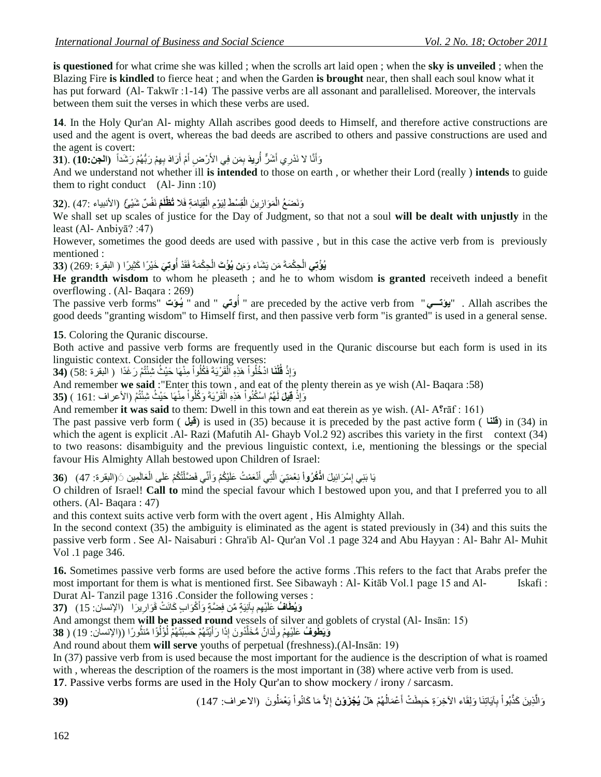**is questioned** for what crime she was killed ; when the scrolls art laid open ; when the **sky is unveiled** ; when the Blazing Fire **is kindled** to fierce heat ; and when the Garden **is brought** near, then shall each soul know what it has put forward (Al- Takwīr : 1-14) The passive verbs are all assonant and parallelised. Moreover, the intervals between them suit the verses in which these verbs are used.

**14**. In the Holy Qur'an Al- mighty Allah ascribes good deeds to Himself, and therefore active constructions are used and the agent is overt, whereas the bad deeds are ascribed to others and passive constructions are used and the agent is covert:

وَأَنَّا لا نَدْرِي أَشَرٌّ أُرِيدَ بِمَن فِي الأَرْضِ أَمْ أَرَادَ بِهِمْ رَبُّهُمْ رَشَداً (ا**لجن:10**) .(31 َ َ َ **َل** ً

And we understand not whether ill **is intended** to those on earth , or whether their Lord (really ) **intends** to guide them to right conduct  $(Al - Jim : 10)$ 

وَنَضَعُ الْمَوَازِينَ الْقِسْطَ لِيَوْمِ الْقِيَامَةِ فَلا **تُظْلَمُ** نَفْسٌ شَيْئٌ (الأنبياء :47) .(**32** ْ ْ ْ ْ

We shall set up scales of justice for the Day of Judgment, so that not a soul **will be dealt with unjustly** in the least (Al- Anbiyā? :47)

However, sometimes the good deeds are used with passive , but in this case the active verb from is previously mentioned :

**يُوْْتِي** الْحِكْمَةَ مَن يَشَاء وَمَ**نْ يُوْْتَ** الْحِكْمَةَ فَقَدْ أُ**وتِيَ** خَيْرًا كَثِيرًا ( البقرة :269) (33 ْ

**He grandth wisdom** to whom he pleaseth ; and he to whom wisdom **is granted** receiveth indeed a benefit overflowing . (Al- Baqara : 269)

me passive verb forms" ليؤت " and " أوتي " are preceded by the active verb from " ليؤت ". Allah ascribes the good deeds "granting wisdom" to Himself first, and then passive verb form "is granted" is used in a general sense.

**15**. Coloring the Quranic discourse.

Both active and passive verb forms are frequently used in the Quranic discourse but each form is used in its linguistic context. Consider the following verses:

وَإِذْ **قُلْنَ**ا ادْخُلُواْ هَذِهِ الْقَرْيَةَ فَكُلُواْ مِنْهَا حَيْثُ شِئْتُمْ رَغَدًا ۚ ( البقرة :58) (**34 ُ** ْ ْ ْ

And remember **we said** :"Enter this town , and eat of the plenty therein as ye wish (Al- Baqara :58) وَّإِذْ **قِيلَ** لَهُمُ اسْكُنُواْ هَذِهِ الْقَرْيَةَ وَكُلُواْ مِنْهَا حَيْثُ شِئْتُمْ (الأعراف :161 ) (**35** ْ ْ ا<br>ا

And remember **it was said** to them: Dwell in this town and eat therein as ye wish. (Al- A؟rāf : 161)

The past passive verb form ( $\tilde{\mathbf{a}}$ ) is used in (35) because it is preceded by the past active form ( $\tilde{\mathbf{a}}$ ) in (34) in which the agent is explicit .Al- Razi (Mafutih Al- Ghayb Vol.2 92) ascribes this variety in the first context (34) to two reasons: disambiguity and the previous linguistic context, i.e, mentioning the blessings or the special favour His Almighty Allah bestowed upon Children of Israel:

يَا بَنِي إِسْرَ ائِيلَ ا**ذْكُرُواْ** نِعْمَتِيَ الَّتِي أَنْعَمْتُ عَلَيْكُمْ وَأَنِّي فَضَّلْتُكُمْ عَلَى الْعَالَمِين ۞(البقرة: 47) (**36** ِ ْ ْ َ َ َّ

O children of Israel! **Call to** mind the special favour which I bestowed upon you, and that I preferred you to all others. (Al- Baqara : 47)

and this context suits active verb form with the overt agent , His Almighty Allah.

In the second context (35) the ambiguity is eliminated as the agent is stated previously in (34) and this suits the passive verb form . See Al- Naisaburi : Ghra'ib Al- Qur'an Vol .1 page 324 and Abu Hayyan : Al- Bahr Al- Muhit Vol .1 page 346.

**16.** Sometimes passive verb forms are used before the active forms .This refers to the fact that Arabs prefer the most important for them is what is mentioned first. See Sibawayh : Al- Kitāb Vol.1 page 15 and Al- Iskafi : Durat Al- Tanzil page 1316 .Consider the following verses :

**ب ُا (37 َلُ٠ٚطَل** ِس٠ َشا َٛا َ ْوَٛا ٍة َوبَٔ ْذ لَ آَ١ِٔ ٍخ ِِّٓ فِ َّض ٍخ َٚأ ِ ُِٙ ث َعٍ )اإلٔغب:ْ 15( َ ١ْ

And amongst them **will be passed round** vessels of silver and goblets of crystal (Al- Insān: 15)

**َلَ٠ٚلطُٛ ُا** ()اإلٔغب:ْ 19( ( **38** ُٛ ًسا ًئا َِّٕث ُ ْئٌ ُ ٠ْزَُٙ ُْ َح ِغْجزَُٙ ُْ ٌ َ َرا َسأ ِ ُذٚ َْ ا َّ َذا ٌْ ُِّ َخٍ ْ ٌ ِ ٚ ُِْٙ َعٍَ ١ْ

And round about them **will serve** youths of perpetual (freshness).(Al-Insān: 19)

In (37) passive verb from is used because the most important for the audience is the description of what is roamed with , whereas the description of the roamers is the most important in  $(38)$  where active verb from is used.

**17**. Passive verbs forms are used in the Holy Qur'an to show mockery / irony / sarcasm.

**39)**ًْ َ٘ ُْ ُُٙ ْع َّبٌ َ ِطَ ْذ أ ٌَِٚمَبء ا٢ ِخ َشِح َحج آَ٠برَِٕب ِ ث ْ ثُٛا ِز٠ َٓ َوزَّ َّ **ُ٠ ْم** ٛ َْ **َلض ْٚ َلْ** َٚاٌ ُ َ٠ ْعٍَّ ْ َِب َوبُٛٔا ِالَّ ا )االعشاف: 147(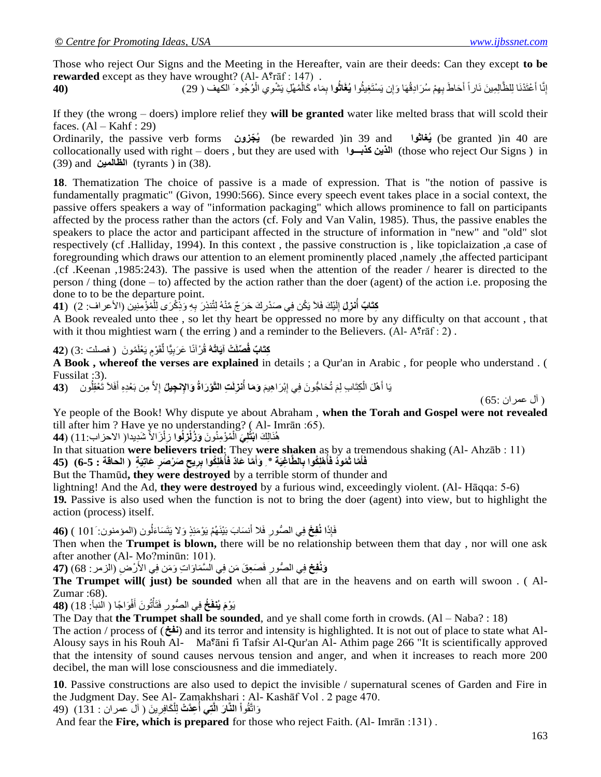Those who reject Our Signs and the Meeting in the Hereafter, vain are their deeds: Can they except **to be rewarded** except as they have wrought? (Al-A<sup>s</sup>raf : 147). إِنَّا أَعْتَدْنَا لِلظَّالِمِينَ نَار أَ أَحَاطَ بِهِمْ سُرَادِقُهَا وَإِن يَسْتَغِيثُوا **يُغَاثُو**ا بِمَاء كَالْمُهْلِ يَشْوِي الْوُجُوهَ الكَهف ( 29) مستخدم مستخدم مستخدم مستخدم مستخدم َ ً َ ْ ْ

If they (the wrong – doers) implore relief they **will be granted** water like melted brass that will scold their faces.  $(AI - \text{Kahf} : 29)$ 

Ordinarily, the passive verb forms **ْٚمضّ ُ٠**) be rewarded )in 39 and **اٛغبثُ٠**) be granted )in 40 are collocationally used with right – doers, but they are used with **الذين كذب**ــوا (those who reject Our Signs) in (39) and **ٓ١ٌّظبٌا**) tyrants ) in (38).

**18**. Thematization The choice of passive is a made of expression. That is "the notion of passive is fundamentally pragmatic" (Givon, 1990:566). Since every speech event takes place in a social context, the passive offers speakers a way of "information packaging" which allows prominence to fall on participants affected by the process rather than the actors (cf. Foly and Van Valin, 1985). Thus, the passive enables the speakers to place the actor and participant affected in the structure of information in "new" and "old" slot respectively (cf .Halliday, 1994). In this context , the passive construction is , like topiclaization ,a case of foregrounding which draws our attention to an element prominently placed ,namely ,the affected participant .(cf .Keenan ,1985:243). The passive is used when the attention of the reader / hearer is directed to the person / thing (done – to) affected by the action rather than the doer (agent) of the action i.e. proposing the done to to be the departure point.

**قِتَابٌ أُنْزِلَ إِلَيْكَ فَلاَ يَكُن فِي صَدْرِكَ حَرَجٌ مِّنْهُ لِلْتُنذِرَ بِهِ وَذِكْرَى لِلْمُؤْمِنِين (الأعراف: 2) (<b>41** ْ ِ

A Book revealed unto thee , so let thy heart be oppressed no more by any difficulty on that account , that with it thou mightiest warn ( the erring ) and a reminder to the Believers. (Al-  $A^r \bar{a}f$  : 2).

**َفَصِّلَتْ آَيَاتُهُ قُرْآنًا عَرَبِيًّا لِّقَوْمٍ يَعْلَمُونَ ( فصلت :3) (<b>42** ِّ ี้ ِ

**A Book , whereof the verses are explained** in details ; a Qur'an in Arabic , for people who understand . ( Fussilat :3).

يَا أَهْلَ الْكِتَابِ لِمَ تُحَاجُّونَ فِي إِبْرَاهِيمَ وَمَا أُنْزِلَتِ النَّوْرَاةُ وَالإِنْجِيلُ إلاَّ مِن بَعْدِهِ أَفَلاَ تَعْقِلُون (43 ِ ْ َ اُ ُ َ

( آل عمران :65)

Ye people of the Book! Why dispute ye about Abraham , **when the Torah and Gospel were not revealed** till after him ? Have ye no understanding? ( Al- Imrān :65).

هُذَالِكَ ا**بْتُلِيَ ا**لْمُؤْمِنُونَ **وَزُلْزِلُوا** زِلْزَالاً شَدِيدا( الاحزاب:11) (44 ْ ْ

In that situation **were believers tried**: They **were shaken** as by a tremendous shaking (Al- Ahzāb : 11) فَأَمَّا ثَمُونُ فَأَهْلِكُوا بِالطَّاغِيَة \* ِ وَأَمَّا عَادٌ فَأَهْلِكُوا بِرِيحٍ صَرْصَرٍ عَاتِيَةٍ ( الحاقة : 5-6) (45 **ُ َل ُ َل**

But the Thamūd**, they were destroyed** by a terrible storm of thunder and

lightning! And the Ad, **they were destroyed** by a furious wind, exceedingly violent. (Al- Hāqqa: 5-6)

**19***.* Passive is also used when the function is not to bring the doer (agent) into view, but to highlight the action (process) itself.

فَإِذَا **نُفِخَ** فِي الصُّورِ فَلا أَنسَابَ بَيْنَهُمْ يَوْمَئِذٍ وَلا يَتَسَاءَلُون (المؤمنون: 101 ) (**46** ُ َ

Then when the **Trumpet is blown,** there will be no relationship between them that day , nor will one ask after another (Al- Mo?minūn: 101).

**وَنُفِخ** فِي الصُّورِ فَصَعِقَ مَن فِي الُسَّمَاوَاتِ وَمَن فِي الأَرْضِ (الزمر : 68) (**47** 

**The Trumpet will( just) be sounded** when all that are in the heavens and on earth will swoon . ( Al-Zumar :68).

يَوْمَ **يُنفَخُ** فِي الصُّورِ فَتَأْتُونَ أَفْوَاجًا ( الُنبأ: 18) (**48** َ ْ

The Day that **the Trumpet shall be sounded**, and ye shall come forth in crowds. (Al – Naba? : 18)

The action / process of ( $\bf{i}$  ( $\bf{ii}$ ) and its terror and intensity is highlighted. It is not out of place to state what Al-Alousy says in his Rouh Al- Ma؟āni fi Tafsir Al-Qur'an Al- Athim page 266 "It is scientifically approved that the intensity of sound causes nervous tension and anger, and when it increases to reach more 200 decibel, the man will lose consciousness and die immediately.

**10**. Passive constructions are also used to depict the invisible / supernatural scenes of Garden and Fire in the Judgment Day. See Al- Zamakhshari : Al- Kashāf Vol . 2 page 470. وَاتَّقُواْ ا**لنَّارَ الَّتِي أُعِدَّتْ لِلْكَ**افِرِينَ ( آلٌ عمران : 131) (49 **ُ**

And fear the **Fire, which is prepared** for those who reject Faith. (Al- Imrān :131) .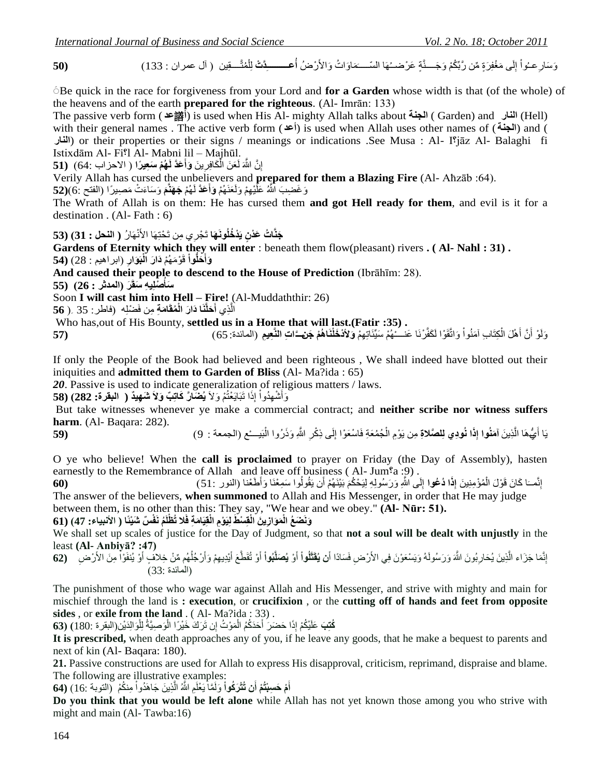ْس ُض **(50** َٚا ُد َٚاألَ َ َّب َُٙب اٌ ّغـــــ ٍخ َع ْشضــ ُىُْ َٚ َخــــَّٕ ٌَٝ َِْغفِ َشٍح ِِّٓ َّسثِّ ا ُٛا ِسعــ **أ** ــــمٓ١ِ **ُعــــــــــِز َّرذ ْد** َٚ َعب ُّزَّ ٌٍِ ) آي عّشاْ : 133( ْ ِ ْ

 **لَ** Be quick in the race for forgiveness from your Lord and **for a Garden** whose width is that (of the whole) of the heavens and of the earth **prepared for the righteous**. (Al- Imrān: 133)

The passive verb form (مثالي is used when His Al- mighty Allah talks about آلشال (Garden) and الشال (Hell) with their general names . The active verb form (أعد) is used when Allah uses other names of (ألجنة) and ( **بسٌٕا** (or their properties or their signs / meanings or indications .See Musa : Al- I؟jāz Al- Balaghi fi Istixdām Al- Fi؟l Al- Mabni lil – Majhūl.

إِنَّ اللَّهَ لَعَنَ الْْكَافِرِينَ **وَأَعَدَّ لَهُمْ سَعِيرًا (** الاحزاب :64) **(51** ْ ِ **َل**

Verily Allah has cursed the unbelievers and **prepared for them a Blazing Fire** (Al- Aћzāb :64).

وَ غَضِبَ اللَّهُ عَلَّيْهِمْ وَلَعَنَهُمْ وَأَ**عَدَّ لَهُمْ جَهَنَّمَ** وَسَاءَتْ مَصِيرًا (الفتح :6)(23 **َل**

The Wrath of Allah is on them: He has cursed them **and got Hell ready for them**, and evil is it for a destination . (Al- Fath : 6)

**جَنَّاتُ عَدْنٍ يَذْخُلُونَـهَا** تَجْرِي مِن تَحْتِهَا الأَنْهَارُ ( ا**لنحل : 31) (53** 

**Gardens of Eternity which they will enter** : beneath them flow(pleasant) rivers **. ( Al- Nahl : 31) .**  وَأَخَّلُواْ قَوْمَهُمْ **دَارَ الْبُوَارِ** (ابر اهيم : 28) (**54 َل**

**And caused their people to descend to the House of Prediction** (Ibrāhīm: 28).

**َلش (55 ْصٍِز١ ِزٗ َلعمَل َلعأ )اٌّذثش : 26( ُ**

Soon **I will cast him into Hell – Fire!** (Al-Muddaththir: 26)

الَّذِي أَ**حَلَّنَا دَارَ الْمُقَامَةِ** مِن فَضْلِه ۖ (فاطر : 35 ـ ( **56** 

Who has,out of His Bounty, **settled us in a Home that will last.(Fatir :35) .**

ُْٙ ُْ َعِّ١ئَبرِ ُِْٙ **(57** ْشَٔب َعٕــــ ْٛا ٌَ َىفَّ َٚارَّمَ َُِٕٛا ِىزَب ِة آ ْ٘ ًَ اٌ َّْ أ ْٛ أ َٚ **ُْ َلجٓ** ٌَ **َلخٍَْٕلبُ٘ َلٚأل ْد ِزُ ــــ ا ِزد إٌَّر** )اٌّبئذح65:( **ِزع١** ْ ْ َ َ **َّر**

If only the People of the Book had believed and been righteous , We shall indeed have blotted out their iniquities and **admitted them to Garden of Bliss** (Al- Ma?ida : 65)

*20*. Passive is used to indicate generalization of religious matters / laws.

وَأَشْهِدُواْ إِذَا تَبَايَعْتُمْ وَلاَ **يُضَارَّ كَاتِبٌ وَلاَ شَهِيدٌ** ( ا**لبقرة: 282) (58** ِ ْ

But take witnesses whenever ye make a commercial contract; and **neither scribe nor witness suffers harm**. (Al- Baqara: 282).

**59)** ُّٞ َ٠ب أ ــ ِز٠ َٓ َ ْع َّ ٌج١َــــ ْ **را ُِٛٔزدٞ ٌِزٍ َّرصال ِزح** َّهللاِ َٚ َر ُسٚا ا **َل ِز َلُِٕٛا إ** ِش َ٘ب اٌ **آ** ٌَٝ ِر ْو ِ ُد َُّعِخ فَب ْع َعْٛا ا ْ ِِٓ َ٠ ْٛ )اٌدّعخ : 9( َِ اٌ

O ye who believe! When the **call is proclaimed** to prayer on Friday (the Day of Assembly), hasten earnestly to the Remembrance of Allah and leave off business (Al-Jum<sup>os</sup>a :9).

إِنَّمَــَا كَانَ قَوْلَ الْمُؤْمِنِينَ إِ**ذَا دُعُوا إِلَ**ى اللَّهِ وَرَسُولِهِ لِيَحْكُمْ بَيْنَهُمْ أَن يَقُولُوا سَمِعْنَا وَأَطَعْنا (النور :51)<br>إِنَّمَــَا كَانَ قَوْلَ الْمُؤْمِنِينَ إِ**ذَا دُعُوا إِلَ**ى اللَّهِ وَ ْ َ ِ The answer of the believers, **when summoned** to Allah and His Messenger, in order that He may judge

between them, is no other than this: They say, "We hear and we obey." **(Al- Nūr: 51).**

وَنَضَعُ الْمَوَازِينَ الْقِسْطَ لِيَوْمِ الْقِيَامَةِ فَلا تُظْلَمُ نَفْسٌ شَيْئًا ( الأنبياء: 47) (61

We shall set up scales of justice for the Day of Judgment, so that **not a soul will be dealt with unjustly** in the least **(Al- Anbiyā? :47)**

إِنَّمَا جَزَاء الَّذِينَ يُحَارِبُونَ اللَّهَ وَرَسُولَهُ وَيَسْعَوْنَ فِي الأَرْضِ فَسَادًا أَ**ن يُقَتَلُواْ** أَوْ يُصَ**لَّبُواْ أ**وْ تُقَطَّعَ أَيْدِيهِمْ وَأَرْجُلُهُم مِّنْ خِلافٍ وَيُنفَوْا مِنَ الأَرْضِ ۚ (62 َّ َ َ َ َ َ (المائدة :33)

The punishment of those who wage war against Allah and His Messenger, and strive with mighty and main for mischief through the land is **: execution**, or **crucifixion** , or the **cutting off of hands and feet from opposite sides** , or **exile from the land** . ( Al- Ma?ida : 33) .

**كُتِبَ** عَلَيْكُمْ إِذَا حَضَرَ أَحَدَكُمُ الْمَوْتُ إِن تَرَكَ خَيْرًا الْوَصِيَّةُ لِلْوَالِدَيْن(البقرة :180) **(63** ْ ْ ْ َ ِ

**It is prescribed,** when death approaches any of you, if he leave any goods, that he make a bequest to parents and next of kin (Al- Baqara: 180).

**21.** Passive constructions are used for Allah to express His disapproval, criticism, reprimand, dispraise and blame. The following are illustrative examples:

أَمْ حَسِبْتُمْ أَن تُتْرَكُواْ وَلَمَّاۤ يَعْلَمِ اللَّهُ الَّذِينَ جَاهَدُواْ مِنكُمْ ۖ (التوبة :16) (64 ْ َّ

**Do you think that you would be left alone** while Allah has not yet known those among you who strive with might and main (Al- Tawba:16)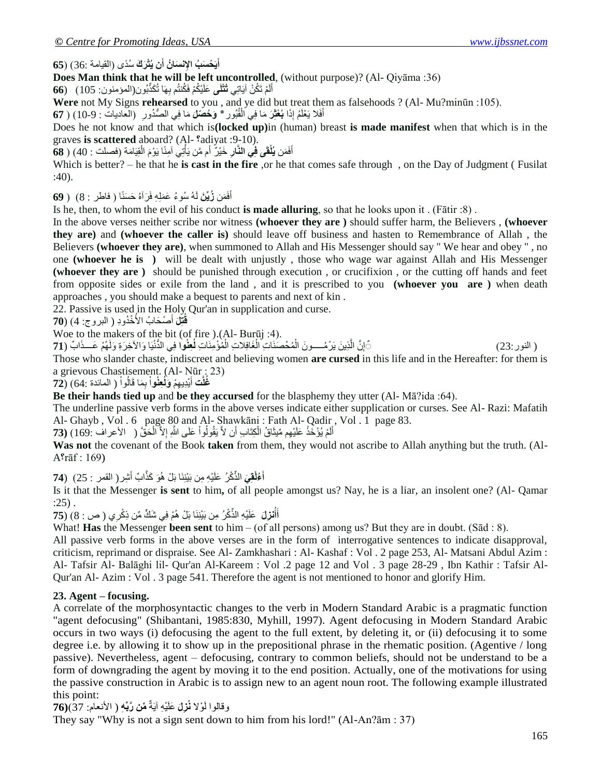# $\left( \frac{36}{2} \right)$  (36: أيَ**حْسَبُ الإِنسَانُ أَن يُتْرَكَ** سُدًى (القيامة  $\left( 36 \right)$

**Does Man think that he will be left uncontrolled**, (without purpose)? (Al- Qiyāma :36)

أَلَمْ تَكُٰنْ آيَاتِي **تُتْلَى** عَلَيْكُمْ فَكُنتُم بِهَا تُكَذِّبُون(المؤمنون: 105) (**66** ٌَ

**Were** not My Signs **rehearsed** to you , and ye did but treat them as falsehoods ? (Al- Mu?minūn :105).

أَفَلا يَعْلَمُ إِذَا **بُعْثِ**رَ مَا فِي الْقُبُورِ \* **وَحُصَلَ** مَا فِي الصُّدُورِ ۚ (العادياتُ : 9-10) ( 67 ِ ْ

Does he not know and that which is**(locked up)**in (human) breast **is made manifest** when that which is in the graves **is scattered** aboard? (Al- ؟adiyat :9-10).

أَفَمَن **يُلْقَى فِي النَّ**ارِ خَيْرٌ ۖ أَم مَّن يَأْتِي آمِنًا يَوْمَ الْقِيَامَة (فصلت : 40) ( **68** َ ْ َ ْ

Which is better? – he that he **is cast in the fire** , or he that comes safe through , on the Day of Judgment ( Fusilat :40).

أَفَمَن **زُيِّنَ** لَهُ سُوءُ عَمَلِهِ فَرَآهُ حَسَنًا ( فاطر : 8) ( **69** َ

Is he, then, to whom the evil of his conduct **is made alluring**, so that he looks upon it . (Fātir :8) .

In the above verses neither scribe nor witness **(whoever they are )** should suffer harm, the Believers , **(whoever they are)** and **(whoever the caller is)** should leave off business and hasten to Remembrance of Allah , the Believers **(whoever they are)**, when summoned to Allah and His Messenger should say " We hear and obey " , no one **(whoever he is )** will be dealt with unjustly , those who wage war against Allah and His Messenger **(whoever they are )** should be punished through execution , or crucifixion , or the cutting off hands and feet from opposite sides or exile from the land , and it is prescribed to you **(whoever you are )** when death approaches , you should make a bequest to parents and next of kin .

22. Passive is used in the Holy Qur'an in supplication and curse.

**قُتِلَ** أَصْحَابُ الأُخْدُودِ ( البروج: 4) (**70** َ

Woe to the makers of the bit (of fire ).(Al- Burūj :4).

لِّـــــونَ الْمُحْصَنَاتِ الْغَافِلاتِ الْمُؤْمِنَاتِ **لْعِنُو**ا فِي الدُّنْيَا وَالآخِرَةِ وَلَهُمْ عَـــذَابٌ (71 ْ ْ ْ َّ ِ

Those who slander chaste, indiscreet and believing women **are cursed** in this life and in the Hereafter: for them is a grievous Chastisement. (Al- Nūr : 23)

ُِْٙ **ُغٍَّرذ** ( اٌّبئذح 64:( (**72** ِ٠ْذ٠ أ **ِزعُٕٛ** َ **َلٌُٚ** ْ ُٛا ِ َّب لَبٌ ث ْ ا

**Be their hands tied up** and **be they accursed** for the blasphemy they utter (Al- Mā?ida :64).

The underline passive verb forms in the above verses indicate either supplication or curses. See Al- Razi: Mafatih Al- Ghayb , Vol . 6 page 80 and Al- Shawkāni : Fath Al- Qadir , Vol . 1 page 83.

أَلَمْ يُؤْخَذْ عَلَيْهِم مِّيثَاقُ الْكِتَابِ أَن لاَّ يَقُولُواْ عَلَى اللَّهِ إِلاَّ الْحَقَّ ( الأعراف :169) (**73** ْ ْ ْ ٌَ َ

**Was not** the covenant of the Book **taken** from them, they would not ascribe to Allah anything but the truth. (Al-A؟rāf : 169)

أَعُلُ**قِ**يَ الذِّكْرُ عَلَيْهِ مِن بَيْنِنَا بَلْ هُوَ كَذَّابٌ أَشْرِ ( القمر : 25) (**74** َ

Is it that the Messenger **is sent** to him**,** of all people amongst us? Nay, he is a liar, an insolent one? (Al- Qamar :25) .

أَ**لْنَزِ**لَ عَلَيْهِ الذِّكْرُ مِن بَيْنِنَا بَلْ هُمْ فِي شَكٍّ مِّن ذِكْرِي ( ص : 8) (75 **ُ**

What! **Has** the Messenger **been sent** to him – (of all persons) among us? But they are in doubt. (Sad: 8).

All passive verb forms in the above verses are in the form of interrogative sentences to indicate disapproval, criticism, reprimand or dispraise. See Al- Zamkhashari : Al- Kashaf : Vol . 2 page 253, Al- Matsani Abdul Azim : Al- Tafsir Al- Balāghi lil- Qur'an Al-Kareem : Vol .2 page 12 and Vol . 3 page 28-29 , Ibn Kathir : Tafsir Al-Qur'an Al- Azim : Vol . 3 page 541. Therefore the agent is not mentioned to honor and glorify Him.

#### **23. Agent – focusing.**

A correlate of the morphosyntactic changes to the verb in Modern Standard Arabic is a pragmatic function "agent defocusing" (Shibantani, 1985:830, Myhill, 1997). Agent defocusing in Modern Standard Arabic occurs in two ways (i) defocusing the agent to the full extent, by deleting it, or (ii) defocusing it to some degree i.e. by allowing it to show up in the prepositional phrase in the rhematic position. (Agentive / long passive). Nevertheless, agent – defocusing, contrary to common beliefs, should not be understand to be a form of downgrading the agent by moving it to the end position. Actually, one of the motivations for using the passive construction in Arabic is to assign new to an agent noun root. The following example illustrated this point:

وقالوا لَوْلا **نُزِل**َ عَلَيْهِ آيَةٌ **مِّن رَّبِّهِ** ( الأنعام: 37)(**76** 

They say "Why is not a sign sent down to him from his lord!" (Al-An?ām : 37)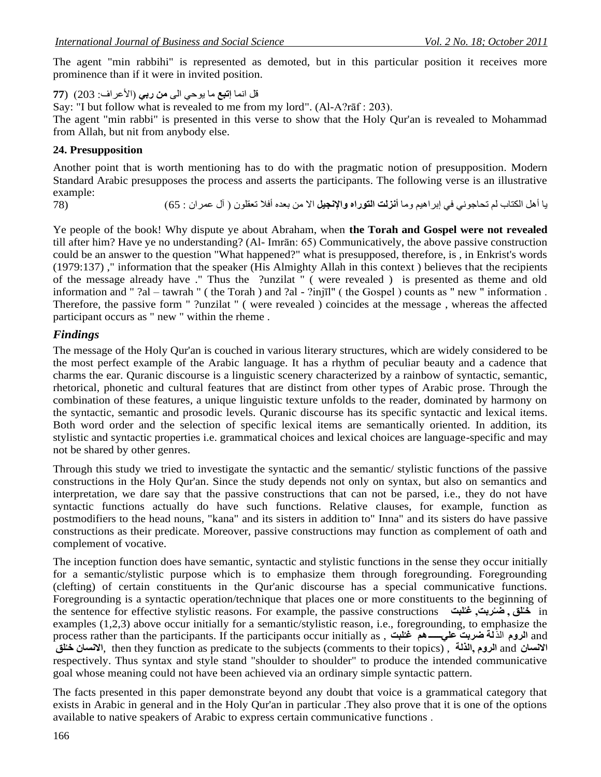The agent "min rabbihi" is represented as demoted, but in this particular position it receives more prominence than if it were in invited position.

قل انما إ**تبع** ما يوحي الى من ربي (الأعراف: 203) (77

Say: "I but follow what is revealed to me from my lord". (Al-A?rāf : 203).

The agent "min rabbi" is presented in this verse to show that the Holy Qur'an is revealed to Mohammad from Allah, but nit from anybody else.

#### **24. Presupposition**

Another point that is worth mentioning has to do with the pragmatic notion of presupposition. Modern Standard Arabic presupposes the process and asserts the participants. The following verse is an illustrative example:

يا أهل الكتاب لم تحاجوني في إبر اهيم وما أ**نزلت التوراه والإنجيل** الا من بعده أفلا تعقلون ( آل عمر ان : 65)

Ye people of the book! Why dispute ye about Abraham, when **the Torah and Gospel were not revealed** till after him? Have ye no understanding? (Al- Imrān: 65) Communicatively, the above passive construction could be an answer to the question "What happened?" what is presupposed, therefore, is , in Enkrist's words (1979:137) ," information that the speaker (His Almighty Allah in this context ) believes that the recipients of the message already have ." Thus the ?unzilat " ( were revealed ) is presented as theme and old information and " ?al – tawrah " ( the Torah ) and ?al - ?injīl" ( the Gospel ) counts as " new " information . Therefore, the passive form " ?unzilat " ( were revealed ) coincides at the message , whereas the affected participant occurs as " new " within the rheme .

#### *Findings*

The message of the Holy Qur'an is couched in various literary structures, which are widely considered to be the most perfect example of the Arabic language. It has a rhythm of peculiar beauty and a cadence that charms the ear. Quranic discourse is a linguistic scenery characterized by a rainbow of syntactic, semantic, rhetorical, phonetic and cultural features that are distinct from other types of Arabic prose. Through the combination of these features, a unique linguistic texture unfolds to the reader, dominated by harmony on the syntactic, semantic and prosodic levels. Quranic discourse has its specific syntactic and lexical items. Both word order and the selection of specific lexical items are semantically oriented. In addition, its stylistic and syntactic properties i.e. grammatical choices and lexical choices are language-specific and may not be shared by other genres.

Through this study we tried to investigate the syntactic and the semantic/ stylistic functions of the passive constructions in the Holy Qur'an. Since the study depends not only on syntax, but also on semantics and interpretation, we dare say that the passive constructions that can not be parsed, i.e., they do not have syntactic functions actually do have such functions. Relative clauses, for example, function as postmodifiers to the head nouns, "kana" and its sisters in addition to" Inna" and its sisters do have passive constructions as their predicate. Moreover, passive constructions may function as complement of oath and complement of vocative.

The inception function does have semantic, syntactic and stylistic functions in the sense they occur initially for a semantic/stylistic purpose which is to emphasize them through foregrounding. Foregrounding (clefting) of certain constituents in the Qur'anic discourse has a special communicative functions. Foregrounding is a syntactic operation/technique that places one or more constituents to the beginning of the sentence for effective stylistic reasons. For example, the passive constructions **كٍ ٍجذُشثذ, غـ** in **خـ , ظـ ُ ُ** examples (1,2,3) above occur initially for a semantic/stylistic reason, i.e., foregrounding, to emphasize the process rather than the participants. If the participants occur initially as , حُثيث جمع غُثِيثٌ and ا**لرو**م الذلمة ضربت علي—هم غُثيث **ُ** لا**لانسان and الروم ,الذل**ة , then they function as predicate to the subjects (comments to their topics) , الانسان خئق **ُ** respectively. Thus syntax and style stand "shoulder to shoulder" to produce the intended communicative goal whose meaning could not have been achieved via an ordinary simple syntactic pattern*.*

The facts presented in this paper demonstrate beyond any doubt that voice is a grammatical category that exists in Arabic in general and in the Holy Qur'an in particular .They also prove that it is one of the options available to native speakers of Arabic to express certain communicative functions .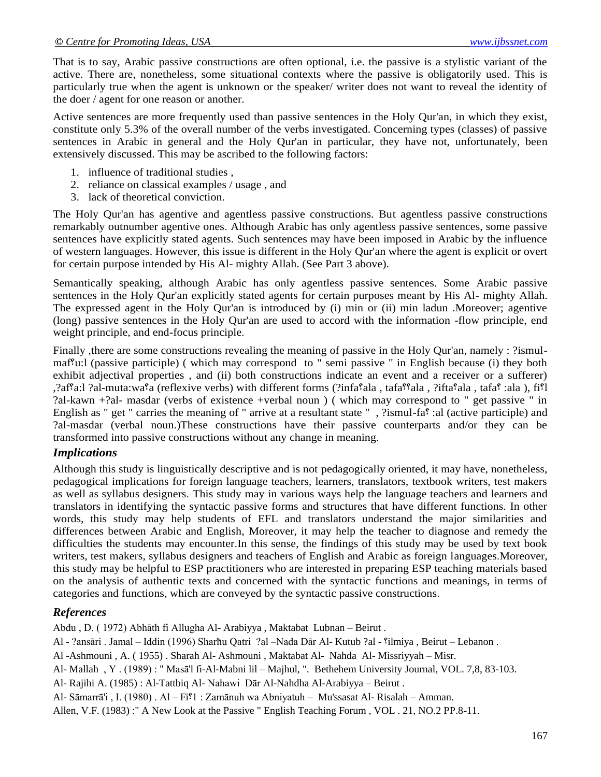That is to say, Arabic passive constructions are often optional, i.e. the passive is a stylistic variant of the active. There are, nonetheless, some situational contexts where the passive is obligatorily used. This is particularly true when the agent is unknown or the speaker/ writer does not want to reveal the identity of the doer / agent for one reason or another.

Active sentences are more frequently used than passive sentences in the Holy Qur'an, in which they exist, constitute only 5.3% of the overall number of the verbs investigated. Concerning types (classes) of passive sentences in Arabic in general and the Holy Qur'an in particular, they have not, unfortunately, been extensively discussed. This may be ascribed to the following factors:

- 1. influence of traditional studies ,
- 2. reliance on classical examples / usage , and
- 3. lack of theoretical conviction.

The Holy Qur'an has agentive and agentless passive constructions. But agentless passive constructions remarkably outnumber agentive ones. Although Arabic has only agentless passive sentences, some passive sentences have explicitly stated agents. Such sentences may have been imposed in Arabic by the influence of western languages. However, this issue is different in the Holy Qur'an where the agent is explicit or overt for certain purpose intended by His Al- mighty Allah. (See Part 3 above). <sup>\*</sup>

Semantically speaking, although Arabic has only agentless passive sentences. Some Arabic passive sentences in the Holy Qur'an explicitly stated agents for certain purposes meant by His Al- mighty Allah. The expressed agent in the Holy Qur'an is introduced by (i) min or (ii) min ladun .Moreover; agentive (long) passive sentences in the Holy Qur'an are used to accord with the information -flow principle, end weight principle, and end-focus principle.

Finally , there are some constructions revealing the meaning of passive in the Holy Qur'an, namely : ?ismulmaf؟u:l (passive participle) ( which may correspond to " semi passive " in English because (i) they both exhibit adjectival properties , and (ii) both constructions indicate an event and a receiver or a sufferer) ,?af؟a:l ?al-muta:wa؟a (reflexive verbs) with different forms (?infa؟ala , tafa؟؟ala , ?ifta؟ala , tafa؟ :ala ), fi؟l ?al-kawn +?al- masdar (verbs of existence +verbal noun ) ( which may correspond to " get passive " in English as " get " carries the meaning of " arrive at a resultant state " , ?ismul-fa؟ :al (active participle) and ?al-masdar (verbal noun.)These constructions have their passive counterparts and/or they can be transformed into passive constructions without any change in meaning.

#### *Implications*

Although this study is linguistically descriptive and is not pedagogically oriented, it may have, nonetheless, pedagogical implications for foreign language teachers, learners, translators, textbook writers, test makers as well as syllabus designers. This study may in various ways help the language teachers and learners and translators in identifying the syntactic passive forms and structures that have different functions. In other words, this study may help students of EFL and translators understand the major similarities and differences between Arabic and English, Moreover, it may help the teacher to diagnose and remedy the difficulties the students may encounter.In this sense, the findings of this study may be used by text book writers, test makers, syllabus designers and teachers of English and Arabic as foreign languages.Moreover, this study may be helpful to ESP practitioners who are interested in preparing ESP teaching materials based on the analysis of authentic texts and concerned with the syntactic functions and meanings, in terms of categories and functions, which are conveyed by the syntactic passive constructions.

#### *References*

Abdu , D. ( 1972) Abhāth fi Allugha Al- Arabiyya , Maktabat Lubnan – Beirut .

Al - ?ansāri . Jamal – Iddin (1996) Sharћu Qatri ?al –Nada Dār Al- Kutub ?al - ؟ilmiya , Beirut – Lebanon .

Al -Ashmouni , A. ( 1955) . Sharah Al- Ashmouni , Maktabat Al- Nahda Al- Missriyyah – Misr.

Al- Mallah , Y . (1989) : " Masā'l fi-Al-Mabni lil – Majhul, ". Bethehem University Journal, VOL. 7,8, 83-103.

Al- Rajihi A. (1985) : Al-Tattbiq Al- Nahawi Dār Al-Nahdha Al-Arabiyya – Beirut .

Al- Sāmarrā'i , I. (1980) . Al – Fi؟1 : Zamānuh wa Abniyatuh – Mu'ssasat Al- Risalah – Amman.

Allen, V.F. (1983) :" A New Look at the Passive " English Teaching Forum , VOL . 21, NO.2 PP.8-11.